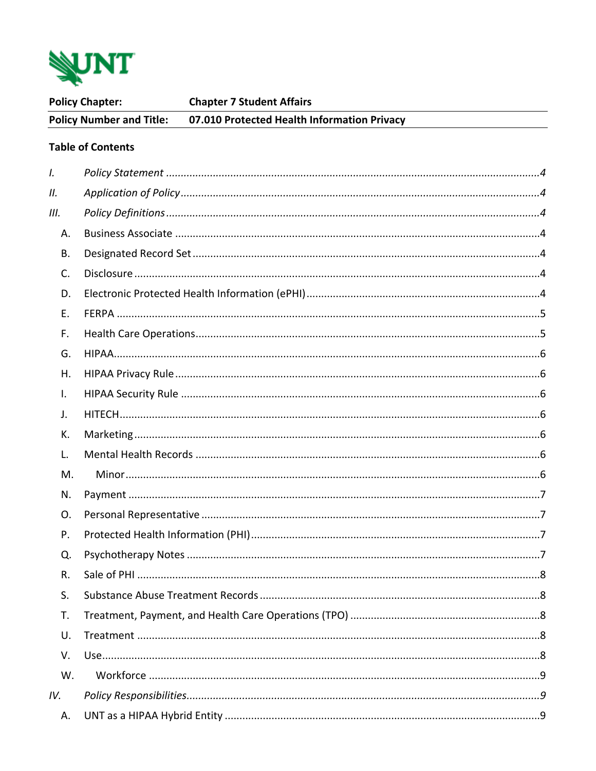

| <b>Policy Chapter:</b>          |                          | <b>Chapter 7 Student Affairs</b>            |  |  |  |
|---------------------------------|--------------------------|---------------------------------------------|--|--|--|
| <b>Policy Number and Title:</b> |                          | 07.010 Protected Health Information Privacy |  |  |  |
|                                 | <b>Table of Contents</b> |                                             |  |  |  |
| $\mathbf{l}$ .                  |                          |                                             |  |  |  |
| II.                             |                          |                                             |  |  |  |
| III.                            |                          |                                             |  |  |  |
| Α.                              |                          |                                             |  |  |  |
| В.                              |                          |                                             |  |  |  |
| C.                              |                          |                                             |  |  |  |
| D.                              |                          |                                             |  |  |  |
| Ε.                              |                          |                                             |  |  |  |
| F.                              |                          |                                             |  |  |  |
| G.                              |                          |                                             |  |  |  |
| Η.                              |                          |                                             |  |  |  |
| $\mathsf{L}$                    |                          |                                             |  |  |  |
| J.                              |                          |                                             |  |  |  |
| К.                              |                          |                                             |  |  |  |
| L.                              |                          |                                             |  |  |  |
| M.                              |                          |                                             |  |  |  |
| N.                              |                          |                                             |  |  |  |
| O.                              |                          |                                             |  |  |  |
| Р.                              |                          |                                             |  |  |  |
| Q.                              |                          |                                             |  |  |  |
| R.                              |                          |                                             |  |  |  |
| S.                              |                          |                                             |  |  |  |
| T.                              |                          |                                             |  |  |  |
| U.                              |                          |                                             |  |  |  |
| V.                              |                          |                                             |  |  |  |
| W.                              |                          |                                             |  |  |  |
| IV.                             |                          |                                             |  |  |  |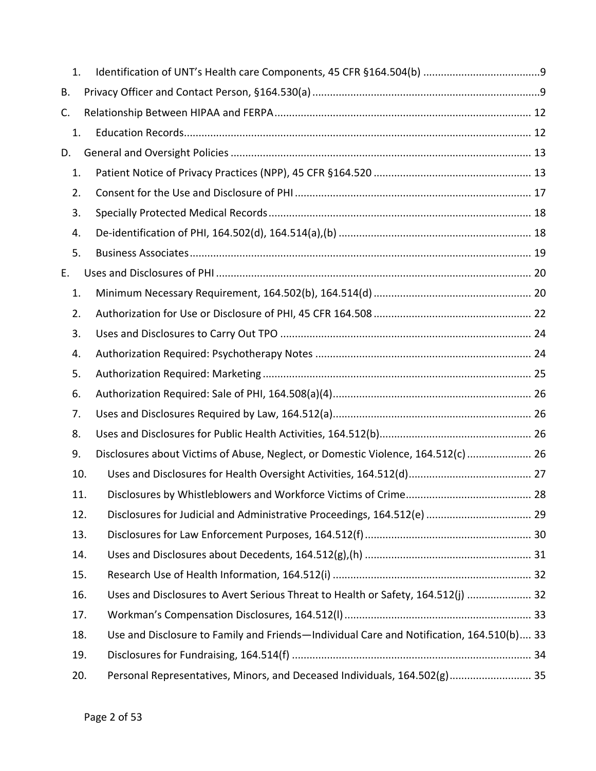| 1. |     |                                                                                          |  |
|----|-----|------------------------------------------------------------------------------------------|--|
| В. |     |                                                                                          |  |
| C. |     |                                                                                          |  |
| 1. |     |                                                                                          |  |
| D. |     |                                                                                          |  |
| 1. |     |                                                                                          |  |
| 2. |     |                                                                                          |  |
| 3. |     |                                                                                          |  |
| 4. |     |                                                                                          |  |
| 5. |     |                                                                                          |  |
| Е. |     |                                                                                          |  |
| 1. |     |                                                                                          |  |
| 2. |     |                                                                                          |  |
| 3. |     |                                                                                          |  |
| 4. |     |                                                                                          |  |
| 5. |     |                                                                                          |  |
| 6. |     |                                                                                          |  |
| 7. |     |                                                                                          |  |
| 8. |     |                                                                                          |  |
| 9. |     | Disclosures about Victims of Abuse, Neglect, or Domestic Violence, 164.512(c)  26        |  |
|    | 10. |                                                                                          |  |
|    | 11. |                                                                                          |  |
|    | 12. |                                                                                          |  |
|    | 13. |                                                                                          |  |
|    | 14. |                                                                                          |  |
|    | 15. |                                                                                          |  |
|    | 16. | Uses and Disclosures to Avert Serious Threat to Health or Safety, 164.512(j)  32         |  |
|    | 17. |                                                                                          |  |
|    | 18. | Use and Disclosure to Family and Friends-Individual Care and Notification, 164.510(b) 33 |  |
|    | 19. |                                                                                          |  |
|    | 20. | Personal Representatives, Minors, and Deceased Individuals, 164.502(g) 35                |  |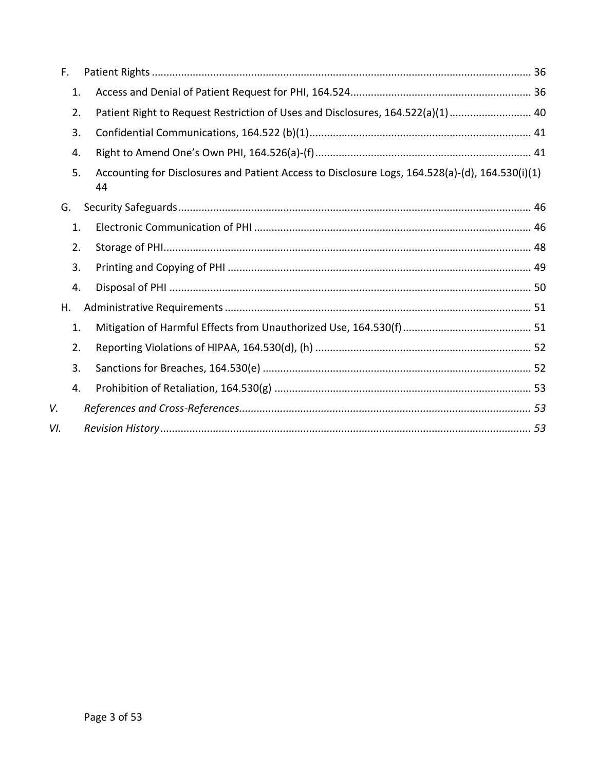| F.  |    |                                                                                                 |  |  |  |  |
|-----|----|-------------------------------------------------------------------------------------------------|--|--|--|--|
| 1.  |    |                                                                                                 |  |  |  |  |
| 2.  |    | Patient Right to Request Restriction of Uses and Disclosures, 164.522(a)(1) 40                  |  |  |  |  |
| 3.  |    |                                                                                                 |  |  |  |  |
| 4.  |    |                                                                                                 |  |  |  |  |
| 5.  | 44 | Accounting for Disclosures and Patient Access to Disclosure Logs, 164.528(a)-(d), 164.530(i)(1) |  |  |  |  |
| G.  |    |                                                                                                 |  |  |  |  |
| 1.  |    |                                                                                                 |  |  |  |  |
| 2.  |    |                                                                                                 |  |  |  |  |
| 3.  |    |                                                                                                 |  |  |  |  |
| 4.  |    |                                                                                                 |  |  |  |  |
| Η.  |    |                                                                                                 |  |  |  |  |
| 1.  |    |                                                                                                 |  |  |  |  |
| 2.  |    |                                                                                                 |  |  |  |  |
| 3.  |    |                                                                                                 |  |  |  |  |
| 4.  |    |                                                                                                 |  |  |  |  |
| V.  |    |                                                                                                 |  |  |  |  |
| VI. |    |                                                                                                 |  |  |  |  |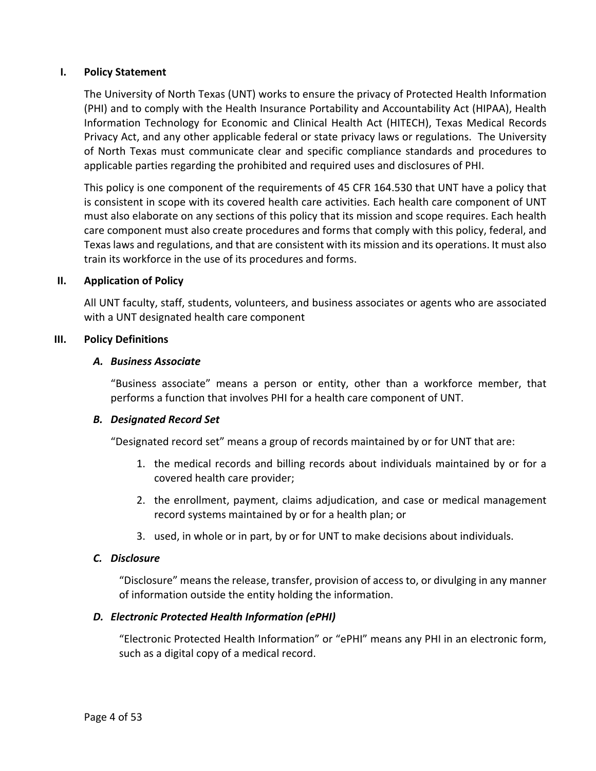### <span id="page-3-0"></span>**I. Policy Statement**

The University of North Texas (UNT) works to ensure the privacy of Protected Health Information (PHI) and to comply with the Health Insurance Portability and Accountability Act (HIPAA), Health Information Technology for Economic and Clinical Health Act (HITECH), Texas Medical Records Privacy Act, and any other applicable federal or state privacy laws or regulations. The University of North Texas must communicate clear and specific compliance standards and procedures to applicable parties regarding the prohibited and required uses and disclosures of PHI.

This policy is one component of the requirements of 45 CFR 164.530 that UNT have a policy that is consistent in scope with its covered health care activities. Each health care component of UNT must also elaborate on any sections of this policy that its mission and scope requires. Each health care component must also create procedures and forms that comply with this policy, federal, and Texas laws and regulations, and that are consistent with its mission and its operations. It must also train its workforce in the use of its procedures and forms.

#### <span id="page-3-1"></span>**II. Application of Policy**

All UNT faculty, staff, students, volunteers, and business associates or agents who are associated with a UNT designated health care component

### <span id="page-3-3"></span><span id="page-3-2"></span>**III. Policy Definitions**

#### *A. Business Associate*

"Business associate" means a person or entity, other than a workforce member, that performs a function that involves PHI for a health care component of UNT.

### <span id="page-3-4"></span>*B. Designated Record Set*

"Designated record set" means a group of records maintained by or for UNT that are:

- 1. the medical records and billing records about individuals maintained by or for a covered health care provider;
- 2. the enrollment, payment, claims adjudication, and case or medical management record systems maintained by or for a health plan; or
- 3. used, in whole or in part, by or for UNT to make decisions about individuals.

### <span id="page-3-5"></span>*C. Disclosure*

"Disclosure" means the release, transfer, provision of access to, or divulging in any manner of information outside the entity holding the information.

### <span id="page-3-6"></span>*D. Electronic Protected Health Information (ePHI)*

"Electronic Protected Health Information" or "ePHI" means any PHI in an electronic form, such as a digital copy of a medical record.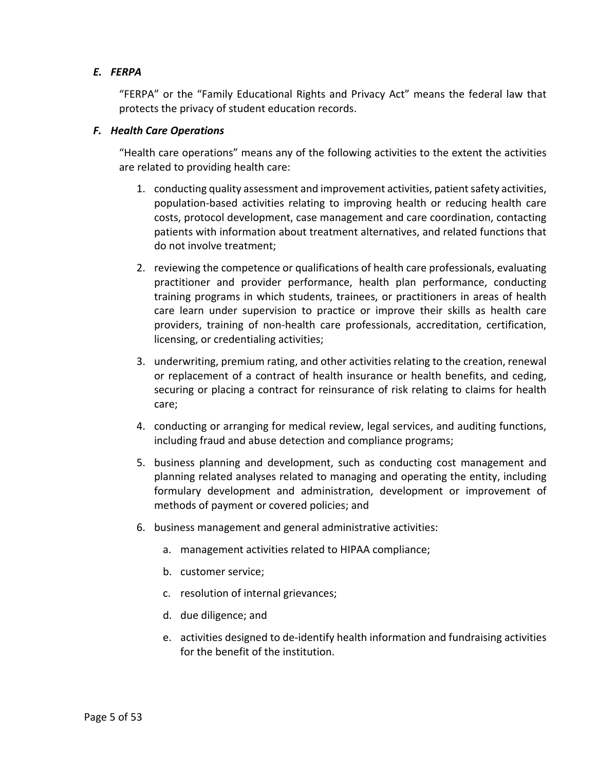# <span id="page-4-0"></span>*E. FERPA*

"FERPA" or the "Family Educational Rights and Privacy Act" means the federal law that protects the privacy of student education records.

# <span id="page-4-1"></span>*F. Health Care Operations*

"Health care operations" means any of the following activities to the extent the activities are related to providing health care:

- 1. conducting quality assessment and improvement activities, patient safety activities, population-based activities relating to improving health or reducing health care costs, protocol development, case management and care coordination, contacting patients with information about treatment alternatives, and related functions that do not involve treatment;
- 2. reviewing the competence or qualifications of health care professionals, evaluating practitioner and provider performance, health plan performance, conducting training programs in which students, trainees, or practitioners in areas of health care learn under supervision to practice or improve their skills as health care providers, training of non-health care professionals, accreditation, certification, licensing, or credentialing activities;
- 3. underwriting, premium rating, and other activities relating to the creation, renewal or replacement of a contract of health insurance or health benefits, and ceding, securing or placing a contract for reinsurance of risk relating to claims for health care;
- 4. conducting or arranging for medical review, legal services, and auditing functions, including fraud and abuse detection and compliance programs;
- 5. business planning and development, such as conducting cost management and planning related analyses related to managing and operating the entity, including formulary development and administration, development or improvement of methods of payment or covered policies; and
- 6. business management and general administrative activities:
	- a. management activities related to HIPAA compliance;
	- b. customer service;
	- c. resolution of internal grievances;
	- d. due diligence; and
	- e. activities designed to de-identify health information and fundraising activities for the benefit of the institution.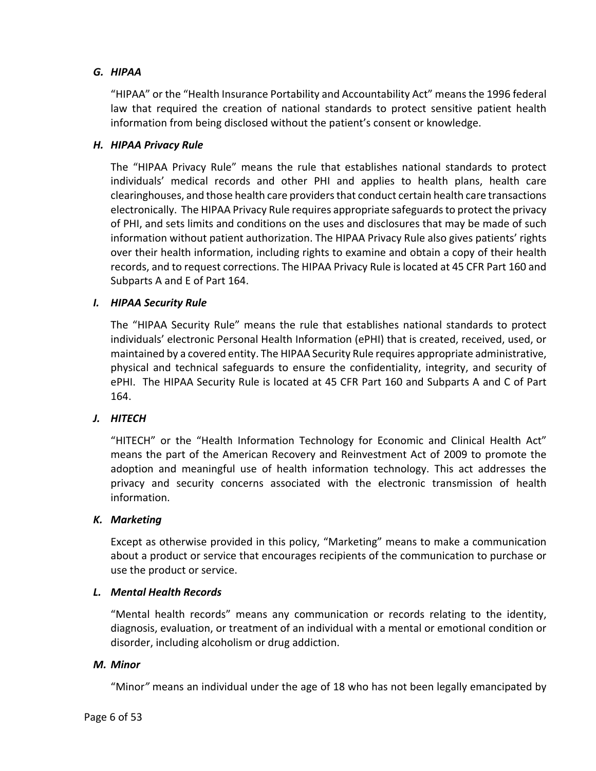# <span id="page-5-0"></span>*G. HIPAA*

"HIPAA" or the "Health Insurance Portability and Accountability Act" means the 1996 federal law that required the creation of national standards to protect sensitive patient health information from being disclosed without the patient's consent or knowledge.

# <span id="page-5-1"></span>*H. HIPAA Privacy Rule*

The "HIPAA Privacy Rule" means the rule that establishes national standards to protect individuals' medical records and other PHI and applies to health plans, health care clearinghouses, and those health care providers that conduct certain health care transactions electronically. The HIPAA Privacy Rule requires appropriate safeguardsto protect the privacy of PHI, and sets limits and conditions on the uses and disclosures that may be made of such information without patient authorization. The HIPAA Privacy Rule also gives patients' rights over their health information, including rights to examine and obtain a copy of their health records, and to request corrections. The HIPAA Privacy Rule is located at 45 CFR Part 160 and Subparts A and E of Part 164.

# <span id="page-5-2"></span>*I. HIPAA Security Rule*

The "HIPAA Security Rule" means the rule that establishes national standards to protect individuals' electronic Personal Health Information (ePHI) that is created, received, used, or maintained by a covered entity. The HIPAA Security Rule requires appropriate administrative, physical and technical safeguards to ensure the confidentiality, integrity, and security of ePHI. The HIPAA Security Rule is located at 45 CFR Part 160 and Subparts A and C of Part 164.

# <span id="page-5-3"></span>*J. HITECH*

"HITECH" or the "Health Information Technology for Economic and Clinical Health Act" means the part of the American Recovery and Reinvestment Act of 2009 to promote the adoption and meaningful use of health information technology. This act addresses the privacy and security concerns associated with the electronic transmission of health information.

### <span id="page-5-4"></span>*K. Marketing*

Except as otherwise provided in this policy, "Marketing" means to make a communication about a product or service that encourages recipients of the communication to purchase or use the product or service.

### <span id="page-5-5"></span>*L. Mental Health Records*

"Mental health records" means any communication or records relating to the identity, diagnosis, evaluation, or treatment of an individual with a mental or emotional condition or disorder, including alcoholism or drug addiction.

### <span id="page-5-6"></span>*M. Minor*

"Minor*"* means an individual under the age of 18 who has not been legally emancipated by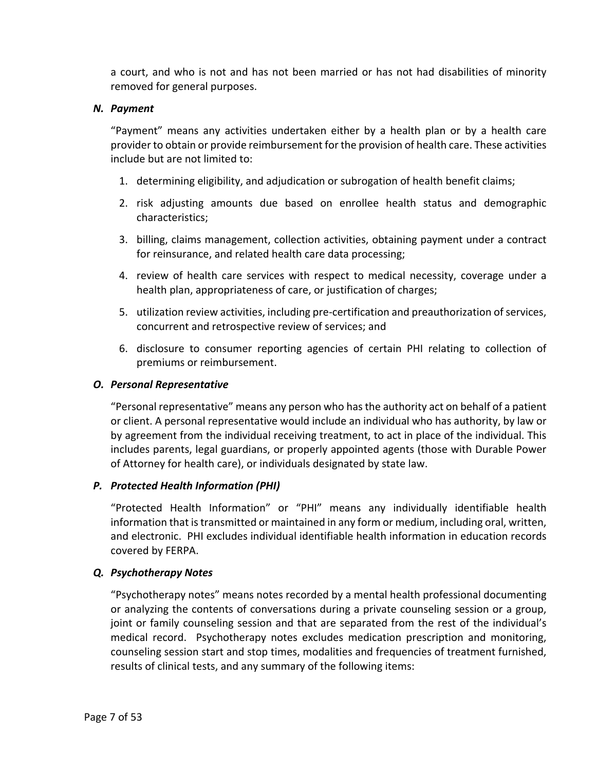a court, and who is not and has not been married or has not had disabilities of minority removed for general purposes.

# <span id="page-6-0"></span>*N. Payment*

"Payment" means any activities undertaken either by a health plan or by a health care provider to obtain or provide reimbursement for the provision of health care. These activities include but are not limited to:

- 1. determining eligibility, and adjudication or subrogation of health benefit claims;
- 2. risk adjusting amounts due based on enrollee health status and demographic characteristics;
- 3. billing, claims management, collection activities, obtaining payment under a contract for reinsurance, and related health care data processing;
- 4. review of health care services with respect to medical necessity, coverage under a health plan, appropriateness of care, or justification of charges;
- 5. utilization review activities, including pre-certification and preauthorization of services, concurrent and retrospective review of services; and
- 6. disclosure to consumer reporting agencies of certain PHI relating to collection of premiums or reimbursement.

# <span id="page-6-1"></span>*O. Personal Representative*

"Personal representative" means any person who has the authority act on behalf of a patient or client. A personal representative would include an individual who has authority, by law or by agreement from the individual receiving treatment, to act in place of the individual. This includes parents, legal guardians, or properly appointed agents (those with Durable Power of Attorney for health care), or individuals designated by state law.

# <span id="page-6-2"></span>*P. Protected Health Information (PHI)*

"Protected Health Information" or "PHI" means any individually identifiable health information that is transmitted or maintained in any form or medium, including oral, written, and electronic. PHI excludes individual identifiable health information in education records covered by FERPA.

# <span id="page-6-3"></span>*Q. Psychotherapy Notes*

"Psychotherapy notes" means notes recorded by a mental health professional documenting or analyzing the contents of conversations during a private counseling session or a group, joint or family counseling session and that are separated from the rest of the individual's medical record. Psychotherapy notes excludes medication prescription and monitoring, counseling session start and stop times, modalities and frequencies of treatment furnished, results of clinical tests, and any summary of the following items: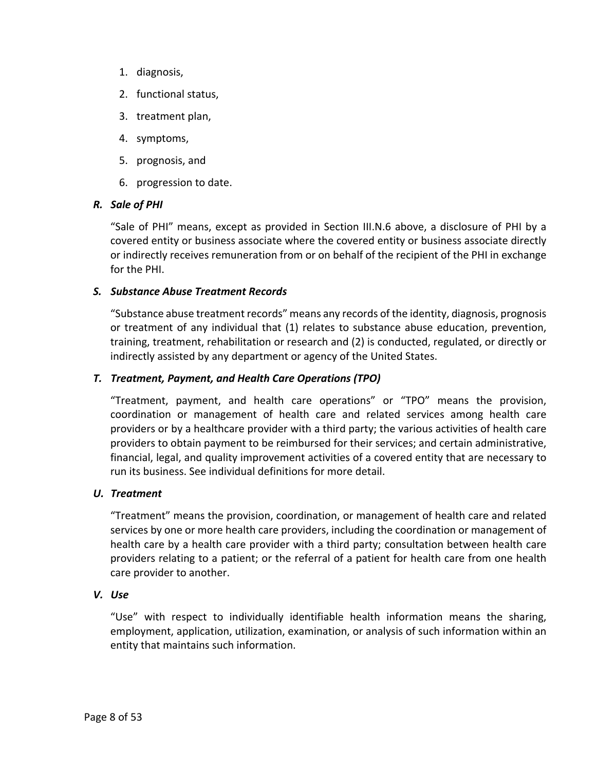- 1. diagnosis,
- 2. functional status,
- 3. treatment plan,
- 4. symptoms,
- 5. prognosis, and
- 6. progression to date.

### <span id="page-7-0"></span>*R. Sale of PHI*

"Sale of PHI" means, except as provided in Section III.N.6 above, a disclosure of PHI by a covered entity or business associate where the covered entity or business associate directly or indirectly receives remuneration from or on behalf of the recipient of the PHI in exchange for the PHI.

# <span id="page-7-1"></span>*S. Substance Abuse Treatment Records*

"Substance abuse treatment records" means any records of the identity, diagnosis, prognosis or treatment of any individual that (1) relates to substance abuse education, prevention, training, treatment, rehabilitation or research and (2) is conducted, regulated, or directly or indirectly assisted by any department or agency of the United States.

# <span id="page-7-2"></span>*T. Treatment, Payment, and Health Care Operations (TPO)*

"Treatment, payment, and health care operations" or "TPO" means the provision, coordination or management of health care and related services among health care providers or by a healthcare provider with a third party; the various activities of health care providers to obtain payment to be reimbursed for their services; and certain administrative, financial, legal, and quality improvement activities of a covered entity that are necessary to run its business. See individual definitions for more detail.

### <span id="page-7-3"></span>*U. Treatment*

"Treatment" means the provision, coordination, or management of health care and related services by one or more health care providers, including the coordination or management of health care by a health care provider with a third party; consultation between health care providers relating to a patient; or the referral of a patient for health care from one health care provider to another.

### <span id="page-7-4"></span>*V. Use*

"Use" with respect to individually identifiable health information means the sharing, employment, application, utilization, examination, or analysis of such information within an entity that maintains such information.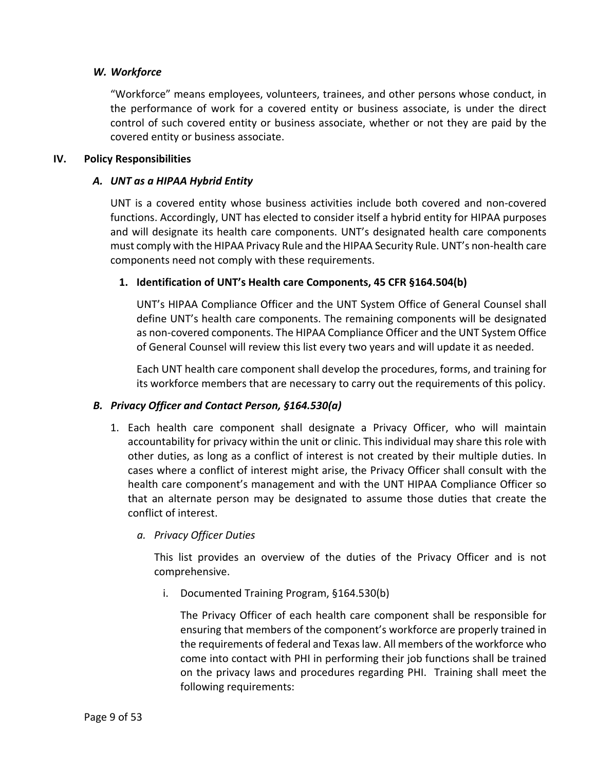# <span id="page-8-0"></span>*W. Workforce*

"Workforce" means employees, volunteers, trainees, and other persons whose conduct, in the performance of work for a covered entity or business associate, is under the direct control of such covered entity or business associate, whether or not they are paid by the covered entity or business associate.

### <span id="page-8-2"></span><span id="page-8-1"></span>**IV. Policy Responsibilities**

#### *A. UNT as a HIPAA Hybrid Entity*

UNT is a covered entity whose business activities include both covered and non-covered functions. Accordingly, UNT has elected to consider itself a hybrid entity for HIPAA purposes and will designate its health care components. UNT's designated health care components must comply with the HIPAA Privacy Rule and the HIPAA Security Rule. UNT's non-health care components need not comply with these requirements.

### <span id="page-8-3"></span>**1. Identification of UNT's Health care Components, 45 CFR §164.504(b)**

UNT's HIPAA Compliance Officer and the UNT System Office of General Counsel shall define UNT's health care components. The remaining components will be designated as non-covered components. The HIPAA Compliance Officer and the UNT System Office of General Counsel will review this list every two years and will update it as needed.

Each UNT health care component shall develop the procedures, forms, and training for its workforce members that are necessary to carry out the requirements of this policy.

### <span id="page-8-5"></span><span id="page-8-4"></span>*B. Privacy Officer and Contact Person, §164.530(a)*

1. Each health care component shall designate a Privacy Officer, who will maintain accountability for privacy within the unit or clinic. This individual may share this role with other duties, as long as a conflict of interest is not created by their multiple duties. In cases where a conflict of interest might arise, the Privacy Officer shall consult with the health care component's management and with the UNT HIPAA Compliance Officer so that an alternate person may be designated to assume those duties that create the conflict of interest.

### <span id="page-8-7"></span><span id="page-8-6"></span>*a. Privacy Officer Duties*

This list provides an overview of the duties of the Privacy Officer and is not comprehensive.

i. Documented Training Program, §164.530(b)

The Privacy Officer of each health care component shall be responsible for ensuring that members of the component's workforce are properly trained in the requirements of federal and Texas law. All members of the workforce who come into contact with PHI in performing their job functions shall be trained on the privacy laws and procedures regarding PHI. Training shall meet the following requirements: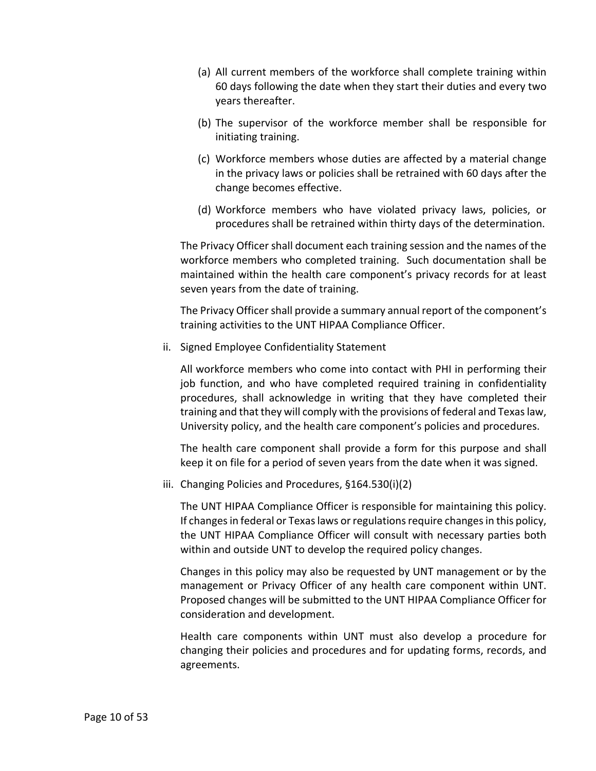- (a) All current members of the workforce shall complete training within 60 days following the date when they start their duties and every two years thereafter.
- (b) The supervisor of the workforce member shall be responsible for initiating training.
- (c) Workforce members whose duties are affected by a material change in the privacy laws or policies shall be retrained with 60 days after the change becomes effective.
- (d) Workforce members who have violated privacy laws, policies, or procedures shall be retrained within thirty days of the determination.

The Privacy Officer shall document each training session and the names of the workforce members who completed training. Such documentation shall be maintained within the health care component's privacy records for at least seven years from the date of training.

The Privacy Officer shall provide a summary annual report of the component's training activities to the UNT HIPAA Compliance Officer.

ii. Signed Employee Confidentiality Statement

All workforce members who come into contact with PHI in performing their job function, and who have completed required training in confidentiality procedures, shall acknowledge in writing that they have completed their training and that they will comply with the provisions of federal and Texas law, University policy, and the health care component's policies and procedures.

The health care component shall provide a form for this purpose and shall keep it on file for a period of seven years from the date when it was signed.

iii. Changing Policies and Procedures, §164.530(i)(2)

The UNT HIPAA Compliance Officer is responsible for maintaining this policy. If changes in federal or Texas laws or regulations require changes in this policy, the UNT HIPAA Compliance Officer will consult with necessary parties both within and outside UNT to develop the required policy changes.

Changes in this policy may also be requested by UNT management or by the management or Privacy Officer of any health care component within UNT. Proposed changes will be submitted to the UNT HIPAA Compliance Officer for consideration and development.

Health care components within UNT must also develop a procedure for changing their policies and procedures and for updating forms, records, and agreements.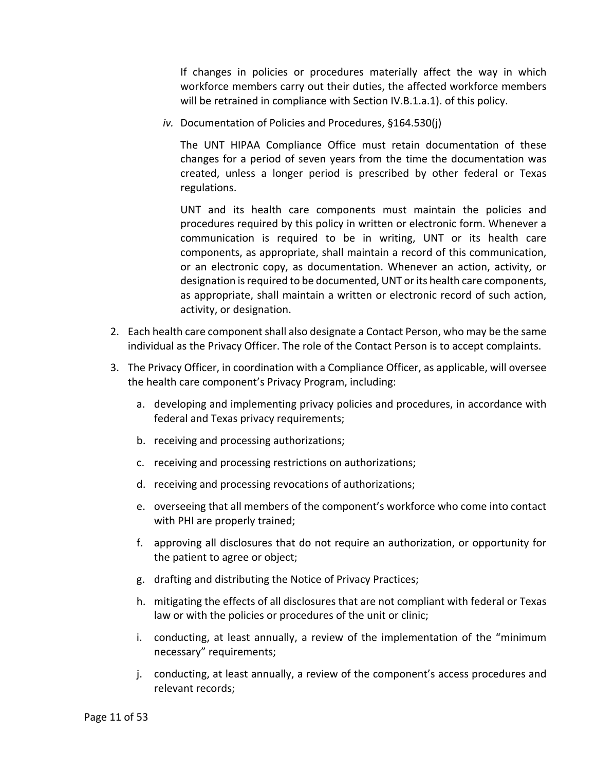If changes in policies or procedures materially affect the way in which workforce members carry out their duties, the affected workforce members will be retrained in compliance with Section [IV.](#page-8-1)[B.](#page-8-4)[1.](#page-8-5)[a.](#page-8-6)[1\).](#page-8-7) of this policy.

*iv.* Documentation of Policies and Procedures, §164.530(j)

The UNT HIPAA Compliance Office must retain documentation of these changes for a period of seven years from the time the documentation was created, unless a longer period is prescribed by other federal or Texas regulations.

UNT and its health care components must maintain the policies and procedures required by this policy in written or electronic form. Whenever a communication is required to be in writing, UNT or its health care components, as appropriate, shall maintain a record of this communication, or an electronic copy, as documentation. Whenever an action, activity, or designation is required to be documented, UNT or its health care components, as appropriate, shall maintain a written or electronic record of such action, activity, or designation.

- 2. Each health care component shall also designate a Contact Person, who may be the same individual as the Privacy Officer. The role of the Contact Person is to accept complaints.
- 3. The Privacy Officer, in coordination with a Compliance Officer, as applicable, will oversee the health care component's Privacy Program, including:
	- a. developing and implementing privacy policies and procedures, in accordance with federal and Texas privacy requirements;
	- b. receiving and processing authorizations;
	- c. receiving and processing restrictions on authorizations;
	- d. receiving and processing revocations of authorizations;
	- e. overseeing that all members of the component's workforce who come into contact with PHI are properly trained;
	- f. approving all disclosures that do not require an authorization, or opportunity for the patient to agree or object;
	- g. drafting and distributing the Notice of Privacy Practices;
	- h. mitigating the effects of all disclosures that are not compliant with federal or Texas law or with the policies or procedures of the unit or clinic;
	- i. conducting, at least annually, a review of the implementation of the "minimum necessary" requirements;
	- j. conducting, at least annually, a review of the component's access procedures and relevant records;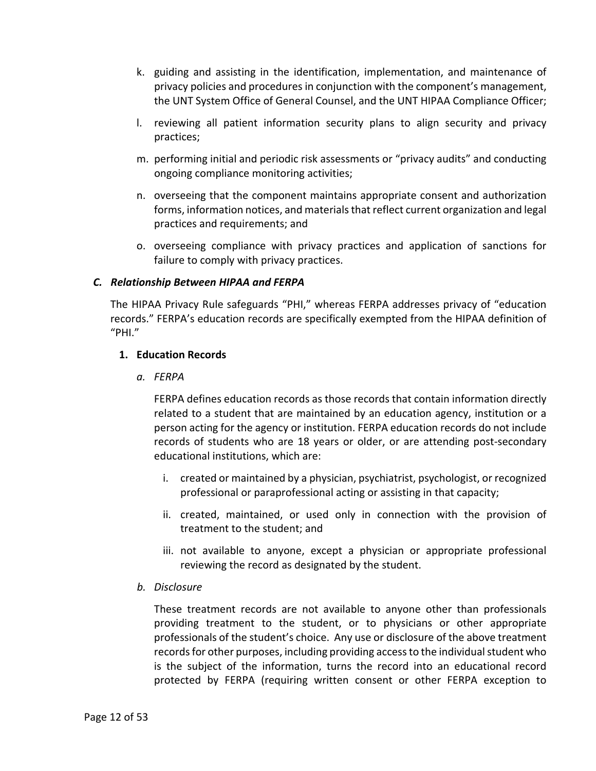- k. guiding and assisting in the identification, implementation, and maintenance of privacy policies and procedures in conjunction with the component's management, the UNT System Office of General Counsel, and the UNT HIPAA Compliance Officer;
- l. reviewing all patient information security plans to align security and privacy practices;
- m. performing initial and periodic risk assessments or "privacy audits" and conducting ongoing compliance monitoring activities;
- n. overseeing that the component maintains appropriate consent and authorization forms, information notices, and materials that reflect current organization and legal practices and requirements; and
- o. overseeing compliance with privacy practices and application of sanctions for failure to comply with privacy practices.

# <span id="page-11-0"></span>*C. Relationship Between HIPAA and FERPA*

The HIPAA Privacy Rule safeguards "PHI," whereas FERPA addresses privacy of "education records." FERPA's education records are specifically exempted from the HIPAA definition of "PHI."

### <span id="page-11-1"></span>**1. Education Records**

*a. FERPA*

FERPA defines education records as those records that contain information directly related to a student that are maintained by an education agency, institution or a person acting for the agency or institution. FERPA education records do not include records of students who are 18 years or older, or are attending post-secondary educational institutions, which are:

- i. created or maintained by a physician, psychiatrist, psychologist, or recognized professional or paraprofessional acting or assisting in that capacity;
- ii. created, maintained, or used only in connection with the provision of treatment to the student; and
- iii. not available to anyone, except a physician or appropriate professional reviewing the record as designated by the student.
- *b. Disclosure*

These treatment records are not available to anyone other than professionals providing treatment to the student, or to physicians or other appropriate professionals of the student's choice. Any use or disclosure of the above treatment records for other purposes, including providing access to the individual student who is the subject of the information, turns the record into an educational record protected by FERPA (requiring written consent or other FERPA exception to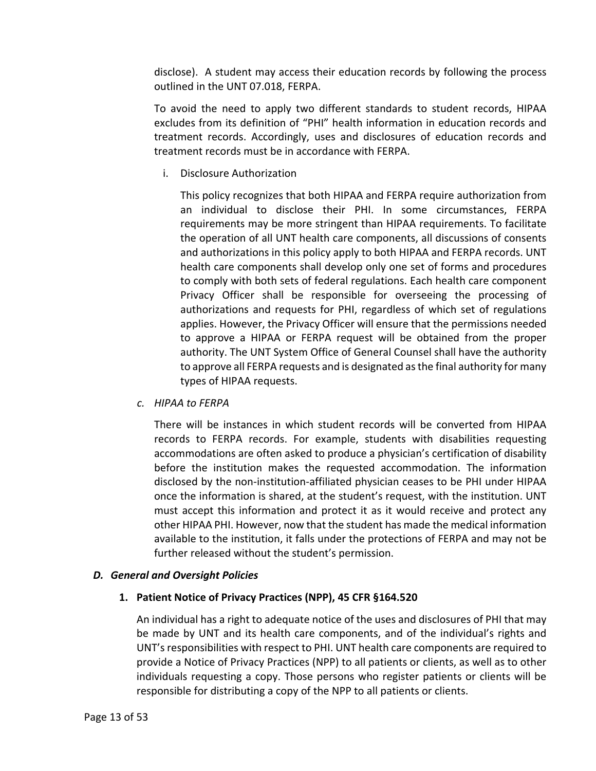disclose). A student may access their education records by following the process outlined in the UNT 07.018, FERPA.

To avoid the need to apply two different standards to student records, HIPAA excludes from its definition of "PHI" health information in education records and treatment records. Accordingly, uses and disclosures of education records and treatment records must be in accordance with FERPA.

i. Disclosure Authorization

This policy recognizes that both HIPAA and FERPA require authorization from an individual to disclose their PHI. In some circumstances, FERPA requirements may be more stringent than HIPAA requirements. To facilitate the operation of all UNT health care components, all discussions of consents and authorizations in this policy apply to both HIPAA and FERPA records. UNT health care components shall develop only one set of forms and procedures to comply with both sets of federal regulations. Each health care component Privacy Officer shall be responsible for overseeing the processing of authorizations and requests for PHI, regardless of which set of regulations applies. However, the Privacy Officer will ensure that the permissions needed to approve a HIPAA or FERPA request will be obtained from the proper authority. The UNT System Office of General Counsel shall have the authority to approve all FERPA requests and is designated as the final authority for many types of HIPAA requests.

*c. HIPAA to FERPA*

There will be instances in which student records will be converted from HIPAA records to FERPA records. For example, students with disabilities requesting accommodations are often asked to produce a physician's certification of disability before the institution makes the requested accommodation. The information disclosed by the non-institution-affiliated physician ceases to be PHI under HIPAA once the information is shared, at the student's request, with the institution. UNT must accept this information and protect it as it would receive and protect any other HIPAA PHI. However, now that the student has made the medical information available to the institution, it falls under the protections of FERPA and may not be further released without the student's permission.

### <span id="page-12-1"></span><span id="page-12-0"></span>*D. General and Oversight Policies*

### **1. Patient Notice of Privacy Practices (NPP), 45 CFR §164.520**

An individual has a right to adequate notice of the uses and disclosures of PHI that may be made by UNT and its health care components, and of the individual's rights and UNT's responsibilities with respect to PHI. UNT health care components are required to provide a Notice of Privacy Practices (NPP) to all patients or clients, as well as to other individuals requesting a copy. Those persons who register patients or clients will be responsible for distributing a copy of the NPP to all patients or clients.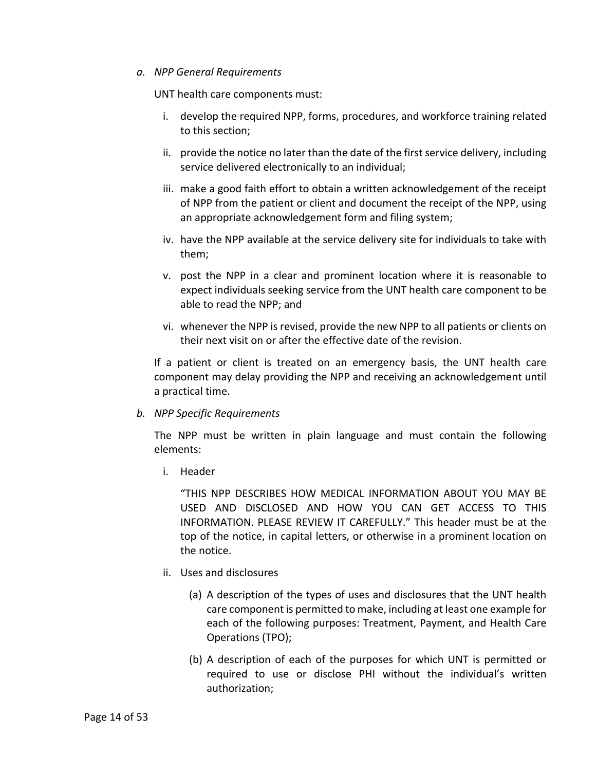#### *a. NPP General Requirements*

UNT health care components must:

- i. develop the required NPP, forms, procedures, and workforce training related to this section;
- ii. provide the notice no later than the date of the first service delivery, including service delivered electronically to an individual;
- iii. make a good faith effort to obtain a written acknowledgement of the receipt of NPP from the patient or client and document the receipt of the NPP, using an appropriate acknowledgement form and filing system;
- iv. have the NPP available at the service delivery site for individuals to take with them;
- v. post the NPP in a clear and prominent location where it is reasonable to expect individuals seeking service from the UNT health care component to be able to read the NPP; and
- vi. whenever the NPP is revised, provide the new NPP to all patients or clients on their next visit on or after the effective date of the revision.

If a patient or client is treated on an emergency basis, the UNT health care component may delay providing the NPP and receiving an acknowledgement until a practical time.

### *b. NPP Specific Requirements*

The NPP must be written in plain language and must contain the following elements:

i. Header

"THIS NPP DESCRIBES HOW MEDICAL INFORMATION ABOUT YOU MAY BE USED AND DISCLOSED AND HOW YOU CAN GET ACCESS TO THIS INFORMATION. PLEASE REVIEW IT CAREFULLY." This header must be at the top of the notice, in capital letters, or otherwise in a prominent location on the notice.

- ii. Uses and disclosures
	- (a) A description of the types of uses and disclosures that the UNT health care component is permitted to make, including at least one example for each of the following purposes: Treatment, Payment, and Health Care Operations (TPO);
	- (b) A description of each of the purposes for which UNT is permitted or required to use or disclose PHI without the individual's written authorization;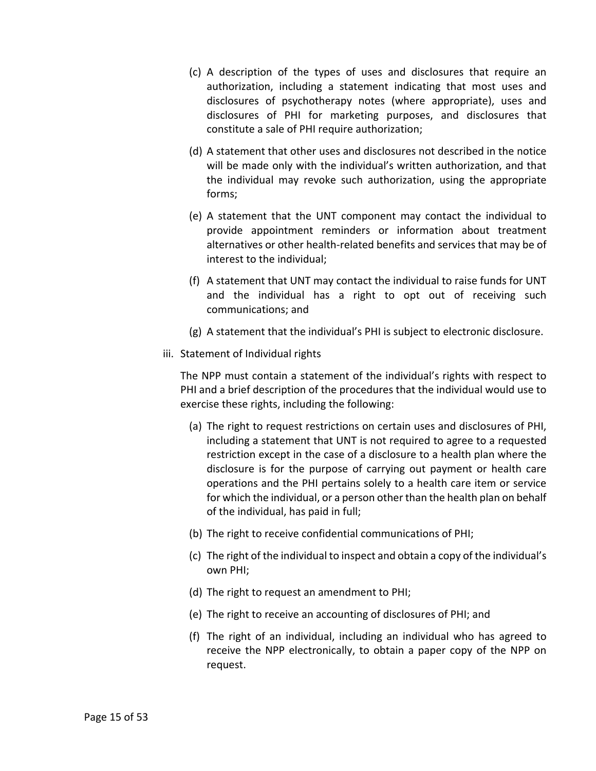- (c) A description of the types of uses and disclosures that require an authorization, including a statement indicating that most uses and disclosures of psychotherapy notes (where appropriate), uses and disclosures of PHI for marketing purposes, and disclosures that constitute a sale of PHI require authorization;
- (d) A statement that other uses and disclosures not described in the notice will be made only with the individual's written authorization, and that the individual may revoke such authorization, using the appropriate forms;
- (e) A statement that the UNT component may contact the individual to provide appointment reminders or information about treatment alternatives or other health-related benefits and services that may be of interest to the individual;
- (f) A statement that UNT may contact the individual to raise funds for UNT and the individual has a right to opt out of receiving such communications; and
- (g) A statement that the individual's PHI is subject to electronic disclosure.
- iii. Statement of Individual rights

The NPP must contain a statement of the individual's rights with respect to PHI and a brief description of the procedures that the individual would use to exercise these rights, including the following:

- (a) The right to request restrictions on certain uses and disclosures of PHI, including a statement that UNT is not required to agree to a requested restriction except in the case of a disclosure to a health plan where the disclosure is for the purpose of carrying out payment or health care operations and the PHI pertains solely to a health care item or service for which the individual, or a person other than the health plan on behalf of the individual, has paid in full;
- (b) The right to receive confidential communications of PHI;
- (c) The right of the individual to inspect and obtain a copy of the individual's own PHI;
- (d) The right to request an amendment to PHI;
- (e) The right to receive an accounting of disclosures of PHI; and
- (f) The right of an individual, including an individual who has agreed to receive the NPP electronically, to obtain a paper copy of the NPP on request.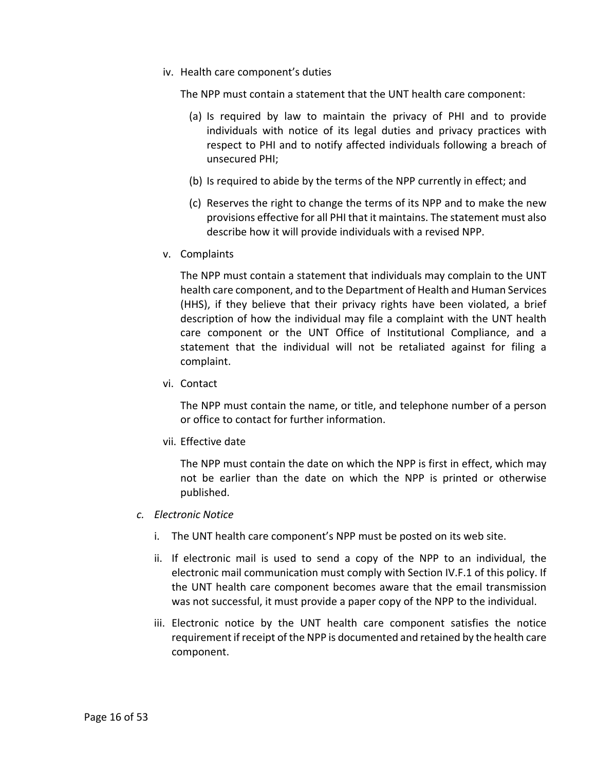iv. Health care component's duties

The NPP must contain a statement that the UNT health care component:

- (a) Is required by law to maintain the privacy of PHI and to provide individuals with notice of its legal duties and privacy practices with respect to PHI and to notify affected individuals following a breach of unsecured PHI;
- (b) Is required to abide by the terms of the NPP currently in effect; and
- (c) Reserves the right to change the terms of its NPP and to make the new provisions effective for all PHI that it maintains. The statement must also describe how it will provide individuals with a revised NPP.
- v. Complaints

The NPP must contain a statement that individuals may complain to the UNT health care component, and to the Department of Health and Human Services (HHS), if they believe that their privacy rights have been violated, a brief description of how the individual may file a complaint with the UNT health care component or the UNT Office of Institutional Compliance, and a statement that the individual will not be retaliated against for filing a complaint.

vi. Contact

The NPP must contain the name, or title, and telephone number of a person or office to contact for further information.

vii. Effective date

The NPP must contain the date on which the NPP is first in effect, which may not be earlier than the date on which the NPP is printed or otherwise published.

- *c. Electronic Notice*
	- i. The UNT health care component's NPP must be posted on its web site.
	- ii. If electronic mail is used to send a copy of the NPP to an individual, the electronic mail communication must comply with Sectio[n IV.](#page-8-1)[F.1](#page-35-1) of this policy. If the UNT health care component becomes aware that the email transmission was not successful, it must provide a paper copy of the NPP to the individual.
	- iii. Electronic notice by the UNT health care component satisfies the notice requirement if receipt of the NPP is documented and retained by the health care component.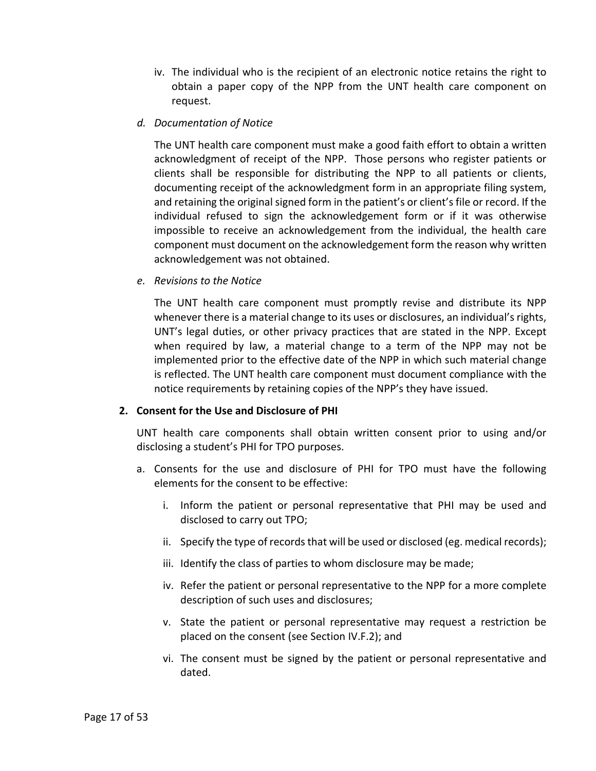- iv. The individual who is the recipient of an electronic notice retains the right to obtain a paper copy of the NPP from the UNT health care component on request.
- *d. Documentation of Notice*

The UNT health care component must make a good faith effort to obtain a written acknowledgment of receipt of the NPP. Those persons who register patients or clients shall be responsible for distributing the NPP to all patients or clients, documenting receipt of the acknowledgment form in an appropriate filing system, and retaining the original signed form in the patient's or client's file or record. If the individual refused to sign the acknowledgement form or if it was otherwise impossible to receive an acknowledgement from the individual, the health care component must document on the acknowledgement form the reason why written acknowledgement was not obtained.

*e. Revisions to the Notice*

The UNT health care component must promptly revise and distribute its NPP whenever there is a material change to its uses or disclosures, an individual's rights, UNT's legal duties, or other privacy practices that are stated in the NPP. Except when required by law, a material change to a term of the NPP may not be implemented prior to the effective date of the NPP in which such material change is reflected. The UNT health care component must document compliance with the notice requirements by retaining copies of the NPP's they have issued.

#### <span id="page-16-0"></span>**2. Consent for the Use and Disclosure of PHI**

UNT health care components shall obtain written consent prior to using and/or disclosing a student's PHI for TPO purposes.

- a. Consents for the use and disclosure of PHI for TPO must have the following elements for the consent to be effective:
	- i. Inform the patient or personal representative that PHI may be used and disclosed to carry out TPO;
	- ii. Specify the type of records that will be used or disclosed (eg. medical records);
	- iii. Identify the class of parties to whom disclosure may be made;
	- iv. Refer the patient or personal representative to the NPP for a more complete description of such uses and disclosures;
	- v. State the patient or personal representative may request a restriction be placed on the consent (see Section [IV.](#page-8-1)F.2); and
	- vi. The consent must be signed by the patient or personal representative and dated.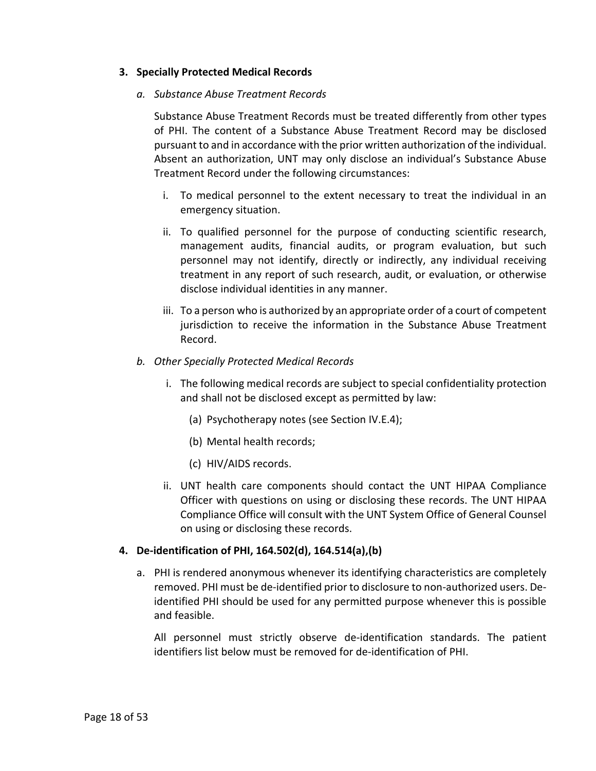# <span id="page-17-0"></span>**3. Specially Protected Medical Records**

### *a. Substance Abuse Treatment Records*

Substance Abuse Treatment Records must be treated differently from other types of PHI. The content of a Substance Abuse Treatment Record may be disclosed pursuant to and in accordance with the prior written authorization of the individual. Absent an authorization, UNT may only disclose an individual's Substance Abuse Treatment Record under the following circumstances:

- i. To medical personnel to the extent necessary to treat the individual in an emergency situation.
- ii. To qualified personnel for the purpose of conducting scientific research, management audits, financial audits, or program evaluation, but such personnel may not identify, directly or indirectly, any individual receiving treatment in any report of such research, audit, or evaluation, or otherwise disclose individual identities in any manner.
- iii. To a person who is authorized by an appropriate order of a court of competent jurisdiction to receive the information in the Substance Abuse Treatment Record.
- *b. Other Specially Protected Medical Records*
	- i. The following medical records are subject to special confidentiality protection and shall not be disclosed except as permitted by law:
		- (a) Psychotherapy notes (see Section [IV](#page-8-1)[.E](#page-19-0)[.4\)](#page-23-1);
		- (b) Mental health records;
		- (c) HIV/AIDS records.
	- ii. UNT health care components should contact the UNT HIPAA Compliance Officer with questions on using or disclosing these records. The UNT HIPAA Compliance Office will consult with the UNT System Office of General Counsel on using or disclosing these records.

### <span id="page-17-1"></span>**4. De-identification of PHI, 164.502(d), 164.514(a),(b)**

a. PHI is rendered anonymous whenever its identifying characteristics are completely removed. PHI must be de-identified prior to disclosure to non-authorized users. Deidentified PHI should be used for any permitted purpose whenever this is possible and feasible.

All personnel must strictly observe de-identification standards. The patient identifiers list below must be removed for de-identification of PHI.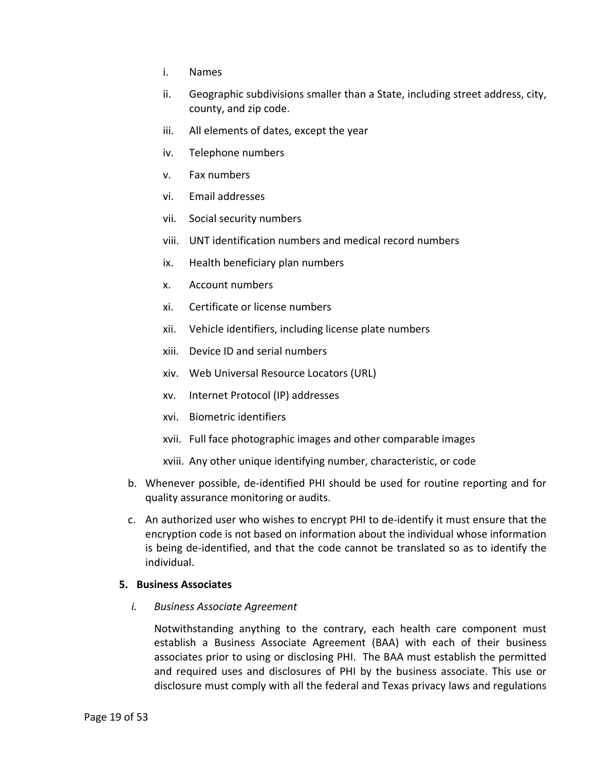- i. Names
- ii. Geographic subdivisions smaller than a State, including street address, city, county, and zip code.
- iii. All elements of dates, except the year
- iv. Telephone numbers
- v. Fax numbers
- vi. Email addresses
- vii. Social security numbers
- viii. UNT identification numbers and medical record numbers
- ix. Health beneficiary plan numbers
- x. Account numbers
- xi. Certificate or license numbers
- xii. Vehicle identifiers, including license plate numbers
- xiii. Device ID and serial numbers
- xiv. Web Universal Resource Locators (URL)
- xv. Internet Protocol (IP) addresses
- xvi. Biometric identifiers
- xvii. Full face photographic images and other comparable images
- xviii. Any other unique identifying number, characteristic, or code
- b. Whenever possible, de-identified PHI should be used for routine reporting and for quality assurance monitoring or audits.
- c. An authorized user who wishes to encrypt PHI to de-identify it must ensure that the encryption code is not based on information about the individual whose information is being de-identified, and that the code cannot be translated so as to identify the individual.

#### <span id="page-18-0"></span>**5. Business Associates**

*i. Business Associate Agreement*

Notwithstanding anything to the contrary, each health care component must establish a Business Associate Agreement (BAA) with each of their business associates prior to using or disclosing PHI. The BAA must establish the permitted and required uses and disclosures of PHI by the business associate. This use or disclosure must comply with all the federal and Texas privacy laws and regulations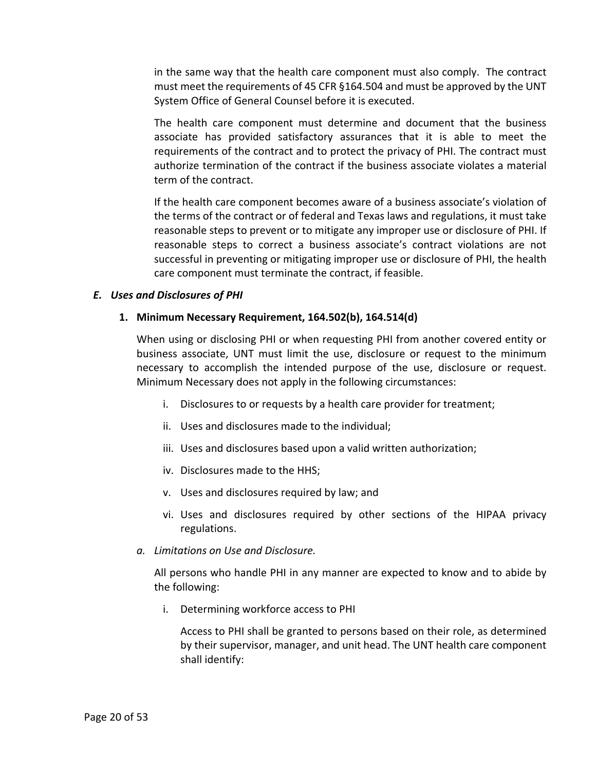in the same way that the health care component must also comply. The contract must meet the requirements of 45 CFR §164.504 and must be approved by the UNT System Office of General Counsel before it is executed.

The health care component must determine and document that the business associate has provided satisfactory assurances that it is able to meet the requirements of the contract and to protect the privacy of PHI. The contract must authorize termination of the contract if the business associate violates a material term of the contract.

If the health care component becomes aware of a business associate's violation of the terms of the contract or of federal and Texas laws and regulations, it must take reasonable steps to prevent or to mitigate any improper use or disclosure of PHI. If reasonable steps to correct a business associate's contract violations are not successful in preventing or mitigating improper use or disclosure of PHI, the health care component must terminate the contract, if feasible.

### <span id="page-19-1"></span><span id="page-19-0"></span>*E. Uses and Disclosures of PHI*

#### **1. Minimum Necessary Requirement, 164.502(b), 164.514(d)**

When using or disclosing PHI or when requesting PHI from another covered entity or business associate, UNT must limit the use, disclosure or request to the minimum necessary to accomplish the intended purpose of the use, disclosure or request. Minimum Necessary does not apply in the following circumstances:

- i. Disclosures to or requests by a health care provider for treatment;
- ii. Uses and disclosures made to the individual;
- iii. Uses and disclosures based upon a valid written authorization;
- iv. Disclosures made to the HHS;
- v. Uses and disclosures required by law; and
- vi. Uses and disclosures required by other sections of the HIPAA privacy regulations.
- *a. Limitations on Use and Disclosure.*

All persons who handle PHI in any manner are expected to know and to abide by the following:

i. Determining workforce access to PHI

Access to PHI shall be granted to persons based on their role, as determined by their supervisor, manager, and unit head. The UNT health care component shall identify: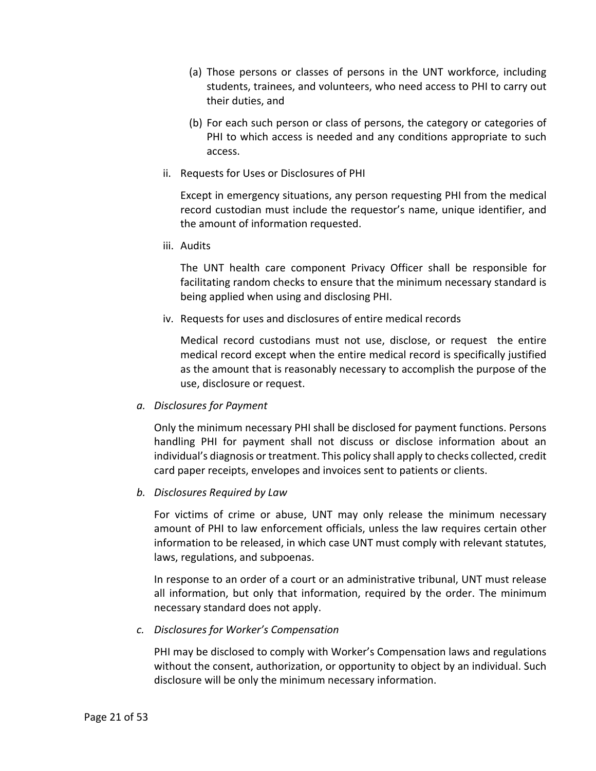- (a) Those persons or classes of persons in the UNT workforce, including students, trainees, and volunteers, who need access to PHI to carry out their duties, and
- (b) For each such person or class of persons, the category or categories of PHI to which access is needed and any conditions appropriate to such access.
- ii. Requests for Uses or Disclosures of PHI

Except in emergency situations, any person requesting PHI from the medical record custodian must include the requestor's name, unique identifier, and the amount of information requested.

iii. Audits

The UNT health care component Privacy Officer shall be responsible for facilitating random checks to ensure that the minimum necessary standard is being applied when using and disclosing PHI.

iv. Requests for uses and disclosures of entire medical records

Medical record custodians must not use, disclose, or request the entire medical record except when the entire medical record is specifically justified as the amount that is reasonably necessary to accomplish the purpose of the use, disclosure or request.

*a. Disclosures for Payment*

Only the minimum necessary PHI shall be disclosed for payment functions. Persons handling PHI for payment shall not discuss or disclose information about an individual's diagnosis or treatment. This policy shall apply to checks collected, credit card paper receipts, envelopes and invoices sent to patients or clients.

*b. Disclosures Required by Law*

For victims of crime or abuse, UNT may only release the minimum necessary amount of PHI to law enforcement officials, unless the law requires certain other information to be released, in which case UNT must comply with relevant statutes, laws, regulations, and subpoenas.

In response to an order of a court or an administrative tribunal, UNT must release all information, but only that information, required by the order. The minimum necessary standard does not apply.

*c. Disclosures for Worker's Compensation*

PHI may be disclosed to comply with Worker's Compensation laws and regulations without the consent, authorization, or opportunity to object by an individual. Such disclosure will be only the minimum necessary information.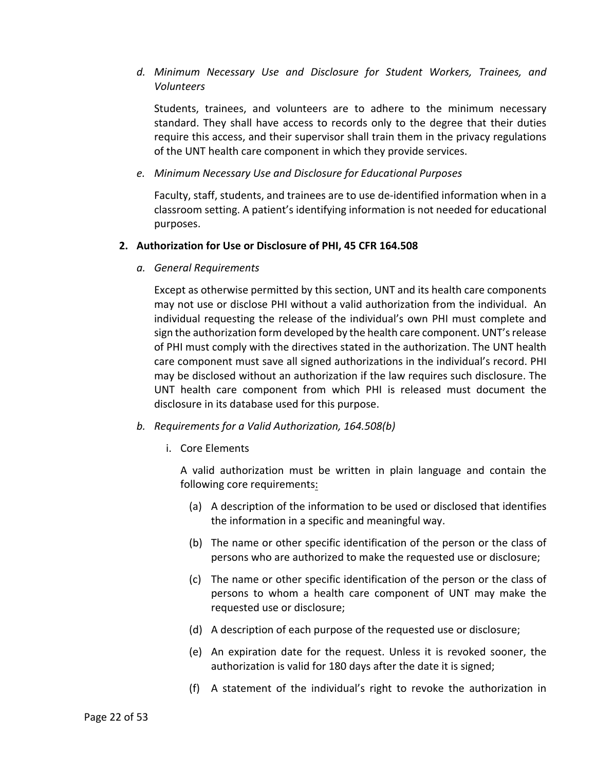# *d. Minimum Necessary Use and Disclosure for Student Workers, Trainees, and Volunteers*

Students, trainees, and volunteers are to adhere to the minimum necessary standard. They shall have access to records only to the degree that their duties require this access, and their supervisor shall train them in the privacy regulations of the UNT health care component in which they provide services.

# *e. Minimum Necessary Use and Disclosure for Educational Purposes*

Faculty, staff, students, and trainees are to use de-identified information when in a classroom setting. A patient's identifying information is not needed for educational purposes.

### <span id="page-21-0"></span>**2. Authorization for Use or Disclosure of PHI, 45 CFR 164.508**

*a. General Requirements*

Except as otherwise permitted by this section, UNT and its health care components may not use or disclose PHI without a valid authorization from the individual. An individual requesting the release of the individual's own PHI must complete and sign the authorization form developed by the health care component. UNT's release of PHI must comply with the directives stated in the authorization. The UNT health care component must save all signed authorizations in the individual's record. PHI may be disclosed without an authorization if the law requires such disclosure. The UNT health care component from which PHI is released must document the disclosure in its database used for this purpose.

- *b. Requirements for a Valid Authorization, 164.508(b)*
	- i. Core Elements

A valid authorization must be written in plain language and contain the following core requirements:

- (a) A description of the information to be used or disclosed that identifies the information in a specific and meaningful way.
- (b) The name or other specific identification of the person or the class of persons who are authorized to make the requested use or disclosure;
- (c) The name or other specific identification of the person or the class of persons to whom a health care component of UNT may make the requested use or disclosure;
- (d) A description of each purpose of the requested use or disclosure;
- (e) An expiration date for the request. Unless it is revoked sooner, the authorization is valid for 180 days after the date it is signed;
- (f) A statement of the individual's right to revoke the authorization in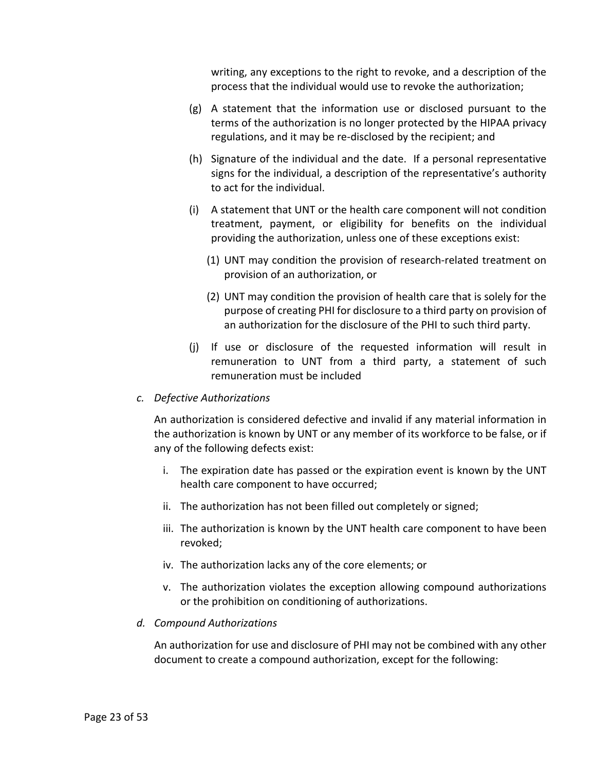writing, any exceptions to the right to revoke, and a description of the process that the individual would use to revoke the authorization;

- (g) A statement that the information use or disclosed pursuant to the terms of the authorization is no longer protected by the HIPAA privacy regulations, and it may be re-disclosed by the recipient; and
- (h) Signature of the individual and the date. If a personal representative signs for the individual, a description of the representative's authority to act for the individual.
- (i) A statement that UNT or the health care component will not condition treatment, payment, or eligibility for benefits on the individual providing the authorization, unless one of these exceptions exist:
	- (1) UNT may condition the provision of research-related treatment on provision of an authorization, or
	- (2) UNT may condition the provision of health care that is solely for the purpose of creating PHI for disclosure to a third party on provision of an authorization for the disclosure of the PHI to such third party.
- (j) If use or disclosure of the requested information will result in remuneration to UNT from a third party, a statement of such remuneration must be included

### *c. Defective Authorizations*

An authorization is considered defective and invalid if any material information in the authorization is known by UNT or any member of its workforce to be false, or if any of the following defects exist:

- i. The expiration date has passed or the expiration event is known by the UNT health care component to have occurred;
- ii. The authorization has not been filled out completely or signed;
- iii. The authorization is known by the UNT health care component to have been revoked;
- iv. The authorization lacks any of the core elements; or
- v. The authorization violates the exception allowing compound authorizations or the prohibition on conditioning of authorizations.

### *d. Compound Authorizations*

An authorization for use and disclosure of PHI may not be combined with any other document to create a compound authorization, except for the following: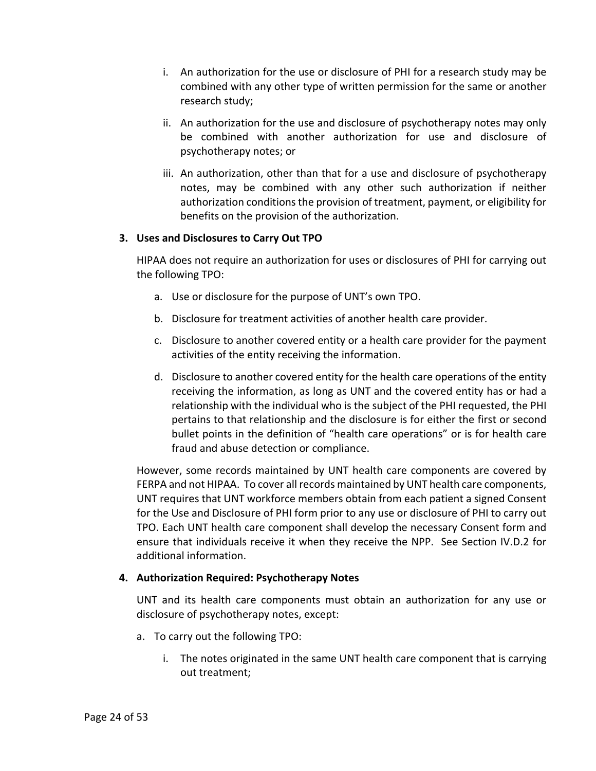- i. An authorization for the use or disclosure of PHI for a research study may be combined with any other type of written permission for the same or another research study;
- ii. An authorization for the use and disclosure of psychotherapy notes may only be combined with another authorization for use and disclosure of psychotherapy notes; or
- iii. An authorization, other than that for a use and disclosure of psychotherapy notes, may be combined with any other such authorization if neither authorization conditions the provision of treatment, payment, or eligibility for benefits on the provision of the authorization.

# <span id="page-23-0"></span>**3. Uses and Disclosures to Carry Out TPO**

HIPAA does not require an authorization for uses or disclosures of PHI for carrying out the following TPO:

- a. Use or disclosure for the purpose of UNT's own TPO.
- b. Disclosure for treatment activities of another health care provider.
- c. Disclosure to another covered entity or a health care provider for the payment activities of the entity receiving the information.
- d. Disclosure to another covered entity for the health care operations of the entity receiving the information, as long as UNT and the covered entity has or had a relationship with the individual who is the subject of the PHI requested, the PHI pertains to that relationship and the disclosure is for either the first or second bullet points in the definition of "health care operations" or is for health care fraud and abuse detection or compliance.

However, some records maintained by UNT health care components are covered by FERPA and not HIPAA. To cover all records maintained by UNT health care components, UNT requires that UNT workforce members obtain from each patient a signed Consent for the Use and Disclosure of PHI form prior to any use or disclosure of PHI to carry out TPO. Each UNT health care component shall develop the necessary Consent form and ensure that individuals receive it when they receive the NPP. See Section [IV](#page-8-1)[.D.](#page-12-0)[2](#page-16-0) for additional information.

# <span id="page-23-1"></span>**4. Authorization Required: Psychotherapy Notes**

UNT and its health care components must obtain an authorization for any use or disclosure of psychotherapy notes, except:

- a. To carry out the following TPO:
	- i. The notes originated in the same UNT health care component that is carrying out treatment;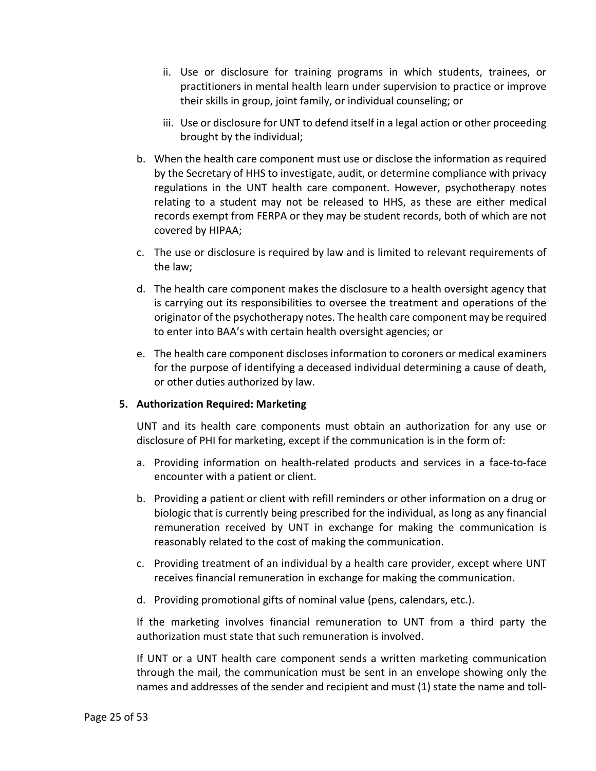- ii. Use or disclosure for training programs in which students, trainees, or practitioners in mental health learn under supervision to practice or improve their skills in group, joint family, or individual counseling; or
- iii. Use or disclosure for UNT to defend itself in a legal action or other proceeding brought by the individual;
- b. When the health care component must use or disclose the information as required by the Secretary of HHS to investigate, audit, or determine compliance with privacy regulations in the UNT health care component. However, psychotherapy notes relating to a student may not be released to HHS, as these are either medical records exempt from FERPA or they may be student records, both of which are not covered by HIPAA;
- c. The use or disclosure is required by law and is limited to relevant requirements of the law;
- d. The health care component makes the disclosure to a health oversight agency that is carrying out its responsibilities to oversee the treatment and operations of the originator of the psychotherapy notes. The health care component may be required to enter into BAA's with certain health oversight agencies; or
- e. The health care component discloses information to coroners or medical examiners for the purpose of identifying a deceased individual determining a cause of death, or other duties authorized by law.

# <span id="page-24-0"></span>**5. Authorization Required: Marketing**

UNT and its health care components must obtain an authorization for any use or disclosure of PHI for marketing, except if the communication is in the form of:

- a. Providing information on health-related products and services in a face-to-face encounter with a patient or client.
- b. Providing a patient or client with refill reminders or other information on a drug or biologic that is currently being prescribed for the individual, as long as any financial remuneration received by UNT in exchange for making the communication is reasonably related to the cost of making the communication.
- c. Providing treatment of an individual by a health care provider, except where UNT receives financial remuneration in exchange for making the communication.
- d. Providing promotional gifts of nominal value (pens, calendars, etc.).

If the marketing involves financial remuneration to UNT from a third party the authorization must state that such remuneration is involved.

If UNT or a UNT health care component sends a written marketing communication through the mail, the communication must be sent in an envelope showing only the names and addresses of the sender and recipient and must (1) state the name and toll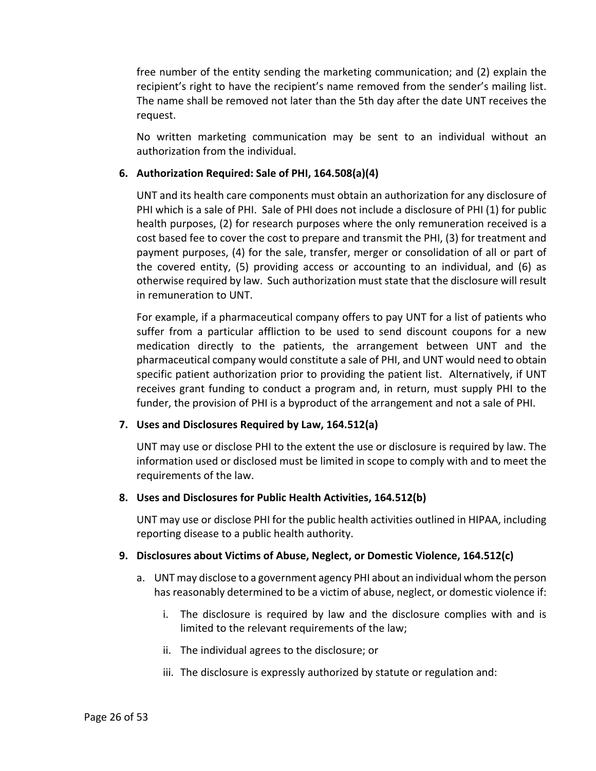free number of the entity sending the marketing communication; and (2) explain the recipient's right to have the recipient's name removed from the sender's mailing list. The name shall be removed not later than the 5th day after the date UNT receives the request.

No written marketing communication may be sent to an individual without an authorization from the individual.

# <span id="page-25-0"></span>**6. Authorization Required: Sale of PHI, 164.508(a)(4)**

UNT and its health care components must obtain an authorization for any disclosure of PHI which is a sale of PHI. Sale of PHI does not include a disclosure of PHI (1) for public health purposes, (2) for research purposes where the only remuneration received is a cost based fee to cover the cost to prepare and transmit the PHI, (3) for treatment and payment purposes, (4) for the sale, transfer, merger or consolidation of all or part of the covered entity, (5) providing access or accounting to an individual, and (6) as otherwise required by law. Such authorization must state that the disclosure will result in remuneration to UNT.

For example, if a pharmaceutical company offers to pay UNT for a list of patients who suffer from a particular affliction to be used to send discount coupons for a new medication directly to the patients, the arrangement between UNT and the pharmaceutical company would constitute a sale of PHI, and UNT would need to obtain specific patient authorization prior to providing the patient list. Alternatively, if UNT receives grant funding to conduct a program and, in return, must supply PHI to the funder, the provision of PHI is a byproduct of the arrangement and not a sale of PHI.

### <span id="page-25-1"></span>**7. Uses and Disclosures Required by Law, 164.512(a)**

UNT may use or disclose PHI to the extent the use or disclosure is required by law. The information used or disclosed must be limited in scope to comply with and to meet the requirements of the law.

### <span id="page-25-2"></span>**8. Uses and Disclosures for Public Health Activities, 164.512(b)**

UNT may use or disclose PHI for the public health activities outlined in HIPAA, including reporting disease to a public health authority.

### <span id="page-25-3"></span>**9. Disclosures about Victims of Abuse, Neglect, or Domestic Violence, 164.512(c)**

- a. UNT may disclose to a government agency PHI about an individual whom the person has reasonably determined to be a victim of abuse, neglect, or domestic violence if:
	- i. The disclosure is required by law and the disclosure complies with and is limited to the relevant requirements of the law;
	- ii. The individual agrees to the disclosure; or
	- iii. The disclosure is expressly authorized by statute or regulation and: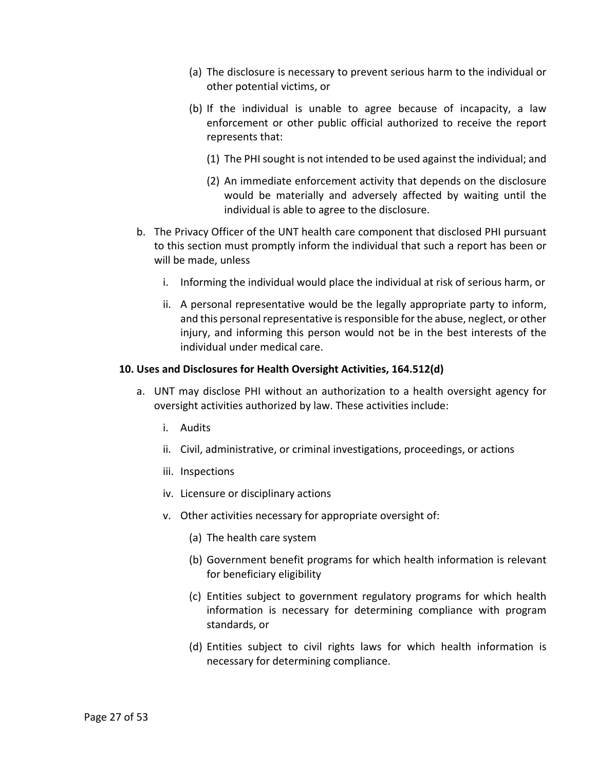- (a) The disclosure is necessary to prevent serious harm to the individual or other potential victims, or
- (b) If the individual is unable to agree because of incapacity, a law enforcement or other public official authorized to receive the report represents that:
	- (1) The PHI sought is not intended to be used against the individual; and
	- (2) An immediate enforcement activity that depends on the disclosure would be materially and adversely affected by waiting until the individual is able to agree to the disclosure.
- b. The Privacy Officer of the UNT health care component that disclosed PHI pursuant to this section must promptly inform the individual that such a report has been or will be made, unless
	- i. Informing the individual would place the individual at risk of serious harm, or
	- ii. A personal representative would be the legally appropriate party to inform, and this personal representative is responsible for the abuse, neglect, or other injury, and informing this person would not be in the best interests of the individual under medical care.

#### <span id="page-26-0"></span>**10. Uses and Disclosures for Health Oversight Activities, 164.512(d)**

- a. UNT may disclose PHI without an authorization to a health oversight agency for oversight activities authorized by law. These activities include:
	- i. Audits
	- ii. Civil, administrative, or criminal investigations, proceedings, or actions
	- iii. Inspections
	- iv. Licensure or disciplinary actions
	- v. Other activities necessary for appropriate oversight of:
		- (a) The health care system
		- (b) Government benefit programs for which health information is relevant for beneficiary eligibility
		- (c) Entities subject to government regulatory programs for which health information is necessary for determining compliance with program standards, or
		- (d) Entities subject to civil rights laws for which health information is necessary for determining compliance.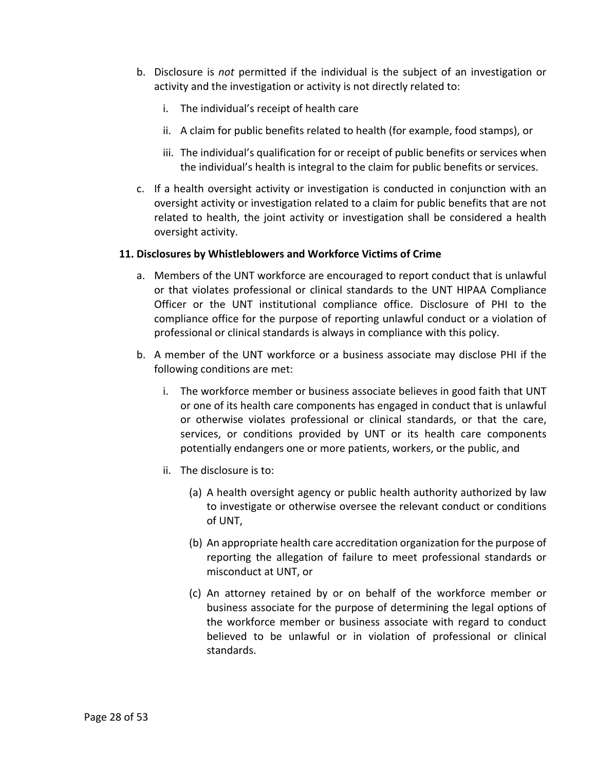- b. Disclosure is *not* permitted if the individual is the subject of an investigation or activity and the investigation or activity is not directly related to:
	- i. The individual's receipt of health care
	- ii. A claim for public benefits related to health (for example, food stamps), or
	- iii. The individual's qualification for or receipt of public benefits or services when the individual's health is integral to the claim for public benefits or services.
- c. If a health oversight activity or investigation is conducted in conjunction with an oversight activity or investigation related to a claim for public benefits that are not related to health, the joint activity or investigation shall be considered a health oversight activity.

#### <span id="page-27-0"></span>**11. Disclosures by Whistleblowers and Workforce Victims of Crime**

- a. Members of the UNT workforce are encouraged to report conduct that is unlawful or that violates professional or clinical standards to the UNT HIPAA Compliance Officer or the UNT institutional compliance office. Disclosure of PHI to the compliance office for the purpose of reporting unlawful conduct or a violation of professional or clinical standards is always in compliance with this policy.
- b. A member of the UNT workforce or a business associate may disclose PHI if the following conditions are met:
	- i. The workforce member or business associate believes in good faith that UNT or one of its health care components has engaged in conduct that is unlawful or otherwise violates professional or clinical standards, or that the care, services, or conditions provided by UNT or its health care components potentially endangers one or more patients, workers, or the public, and
	- ii. The disclosure is to:
		- (a) A health oversight agency or public health authority authorized by law to investigate or otherwise oversee the relevant conduct or conditions of UNT,
		- (b) An appropriate health care accreditation organization for the purpose of reporting the allegation of failure to meet professional standards or misconduct at UNT, or
		- (c) An attorney retained by or on behalf of the workforce member or business associate for the purpose of determining the legal options of the workforce member or business associate with regard to conduct believed to be unlawful or in violation of professional or clinical standards.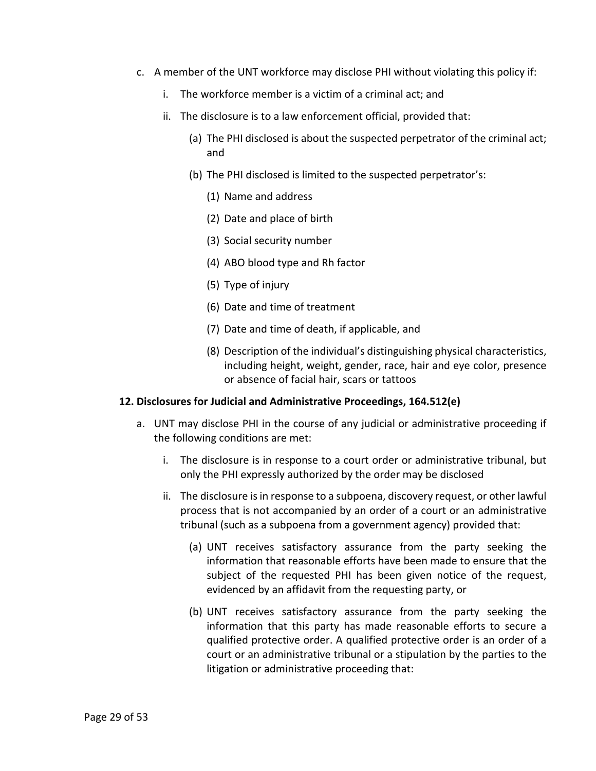- c. A member of the UNT workforce may disclose PHI without violating this policy if:
	- i. The workforce member is a victim of a criminal act; and
	- ii. The disclosure is to a law enforcement official, provided that:
		- (a) The PHI disclosed is about the suspected perpetrator of the criminal act; and
		- (b) The PHI disclosed is limited to the suspected perpetrator's:
			- (1) Name and address
			- (2) Date and place of birth
			- (3) Social security number
			- (4) ABO blood type and Rh factor
			- (5) Type of injury
			- (6) Date and time of treatment
			- (7) Date and time of death, if applicable, and
			- (8) Description of the individual's distinguishing physical characteristics, including height, weight, gender, race, hair and eye color, presence or absence of facial hair, scars or tattoos

#### <span id="page-28-0"></span>**12. Disclosures for Judicial and Administrative Proceedings, 164.512(e)**

- a. UNT may disclose PHI in the course of any judicial or administrative proceeding if the following conditions are met:
	- i. The disclosure is in response to a court order or administrative tribunal, but only the PHI expressly authorized by the order may be disclosed
	- ii. The disclosure is in response to a subpoena, discovery request, or other lawful process that is not accompanied by an order of a court or an administrative tribunal (such as a subpoena from a government agency) provided that:
		- (a) UNT receives satisfactory assurance from the party seeking the information that reasonable efforts have been made to ensure that the subject of the requested PHI has been given notice of the request, evidenced by an affidavit from the requesting party, or
		- (b) UNT receives satisfactory assurance from the party seeking the information that this party has made reasonable efforts to secure a qualified protective order. A qualified protective order is an order of a court or an administrative tribunal or a stipulation by the parties to the litigation or administrative proceeding that: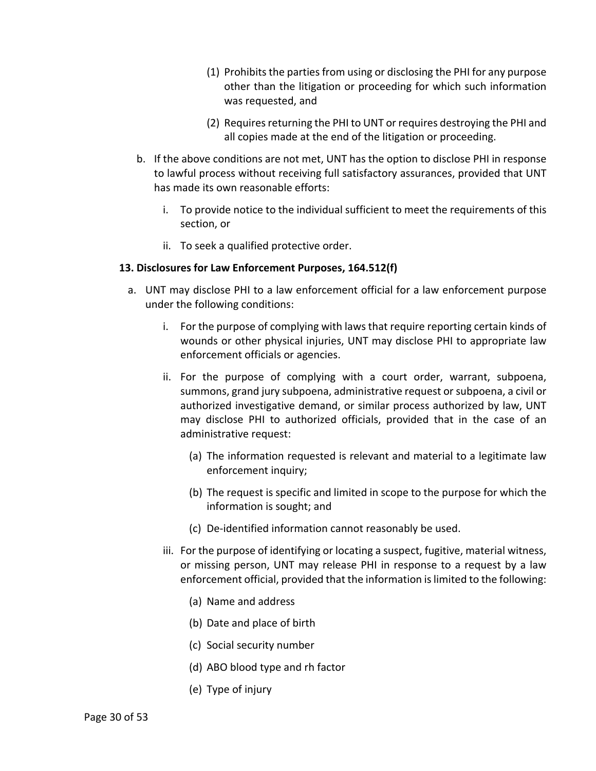- (1) Prohibits the parties from using or disclosing the PHI for any purpose other than the litigation or proceeding for which such information was requested, and
- (2) Requires returning the PHI to UNT or requires destroying the PHI and all copies made at the end of the litigation or proceeding.
- b. If the above conditions are not met, UNT has the option to disclose PHI in response to lawful process without receiving full satisfactory assurances, provided that UNT has made its own reasonable efforts:
	- i. To provide notice to the individual sufficient to meet the requirements of this section, or
	- ii. To seek a qualified protective order.

# <span id="page-29-0"></span>**13. Disclosures for Law Enforcement Purposes, 164.512(f)**

- a. UNT may disclose PHI to a law enforcement official for a law enforcement purpose under the following conditions:
	- i. For the purpose of complying with laws that require reporting certain kinds of wounds or other physical injuries, UNT may disclose PHI to appropriate law enforcement officials or agencies.
	- ii. For the purpose of complying with a court order, warrant, subpoena, summons, grand jury subpoena, administrative request or subpoena, a civil or authorized investigative demand, or similar process authorized by law, UNT may disclose PHI to authorized officials, provided that in the case of an administrative request:
		- (a) The information requested is relevant and material to a legitimate law enforcement inquiry;
		- (b) The request is specific and limited in scope to the purpose for which the information is sought; and
		- (c) De-identified information cannot reasonably be used.
	- iii. For the purpose of identifying or locating a suspect, fugitive, material witness, or missing person, UNT may release PHI in response to a request by a law enforcement official, provided that the information is limited to the following:
		- (a) Name and address
		- (b) Date and place of birth
		- (c) Social security number
		- (d) ABO blood type and rh factor
		- (e) Type of injury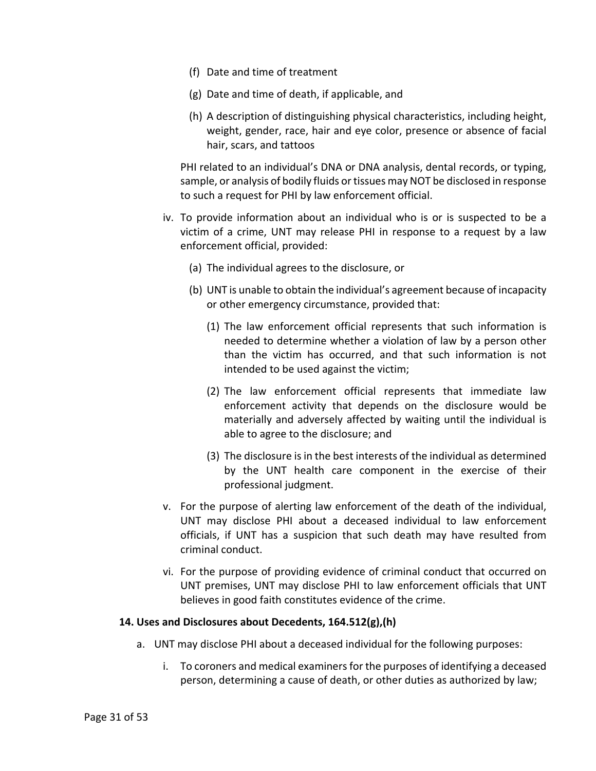- (f) Date and time of treatment
- (g) Date and time of death, if applicable, and
- (h) A description of distinguishing physical characteristics, including height, weight, gender, race, hair and eye color, presence or absence of facial hair, scars, and tattoos

PHI related to an individual's DNA or DNA analysis, dental records, or typing, sample, or analysis of bodily fluids or tissues may NOT be disclosed in response to such a request for PHI by law enforcement official.

- iv. To provide information about an individual who is or is suspected to be a victim of a crime, UNT may release PHI in response to a request by a law enforcement official, provided:
	- (a) The individual agrees to the disclosure, or
	- (b) UNT is unable to obtain the individual's agreement because of incapacity or other emergency circumstance, provided that:
		- (1) The law enforcement official represents that such information is needed to determine whether a violation of law by a person other than the victim has occurred, and that such information is not intended to be used against the victim;
		- (2) The law enforcement official represents that immediate law enforcement activity that depends on the disclosure would be materially and adversely affected by waiting until the individual is able to agree to the disclosure; and
		- (3) The disclosure is in the best interests of the individual as determined by the UNT health care component in the exercise of their professional judgment.
- v. For the purpose of alerting law enforcement of the death of the individual, UNT may disclose PHI about a deceased individual to law enforcement officials, if UNT has a suspicion that such death may have resulted from criminal conduct.
- vi. For the purpose of providing evidence of criminal conduct that occurred on UNT premises, UNT may disclose PHI to law enforcement officials that UNT believes in good faith constitutes evidence of the crime.

### <span id="page-30-0"></span>**14. Uses and Disclosures about Decedents, 164.512(g),(h)**

- a. UNT may disclose PHI about a deceased individual for the following purposes:
	- i. To coroners and medical examiners for the purposes of identifying a deceased person, determining a cause of death, or other duties as authorized by law;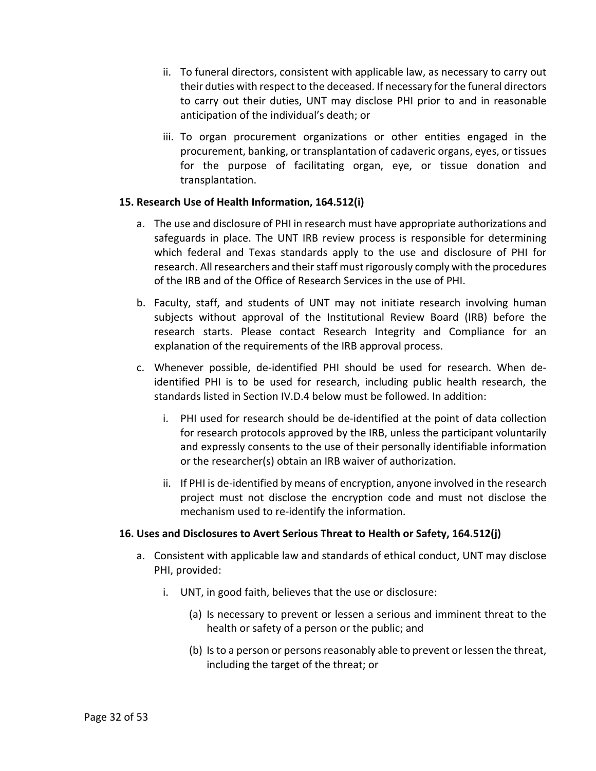- ii. To funeral directors, consistent with applicable law, as necessary to carry out their duties with respect to the deceased. If necessary for the funeral directors to carry out their duties, UNT may disclose PHI prior to and in reasonable anticipation of the individual's death; or
- iii. To organ procurement organizations or other entities engaged in the procurement, banking, or transplantation of cadaveric organs, eyes, or tissues for the purpose of facilitating organ, eye, or tissue donation and transplantation.

### <span id="page-31-0"></span>**15. Research Use of Health Information, 164.512(i)**

- a. The use and disclosure of PHI in research must have appropriate authorizations and safeguards in place. The UNT IRB review process is responsible for determining which federal and Texas standards apply to the use and disclosure of PHI for research. All researchers and their staff must rigorously comply with the procedures of the IRB and of the Office of Research Services in the use of PHI.
- b. Faculty, staff, and students of UNT may not initiate research involving human subjects without approval of the Institutional Review Board (IRB) before the research starts. Please contact Research Integrity and Compliance for an explanation of the requirements of the IRB approval process.
- c. Whenever possible, de-identified PHI should be used for research. When deidentified PHI is to be used for research, including public health research, the standards listed in Section [IV](#page-8-1)[.D.](#page-12-0)[4](#page-17-1) below must be followed. In addition:
	- i. PHI used for research should be de-identified at the point of data collection for research protocols approved by the IRB, unless the participant voluntarily and expressly consents to the use of their personally identifiable information or the researcher(s) obtain an IRB waiver of authorization.
	- ii. If PHI is de-identified by means of encryption, anyone involved in the research project must not disclose the encryption code and must not disclose the mechanism used to re-identify the information.

# <span id="page-31-1"></span>**16. Uses and Disclosures to Avert Serious Threat to Health or Safety, 164.512(j)**

- a. Consistent with applicable law and standards of ethical conduct, UNT may disclose PHI, provided:
	- i. UNT, in good faith, believes that the use or disclosure:
		- (a) Is necessary to prevent or lessen a serious and imminent threat to the health or safety of a person or the public; and
		- (b) Is to a person or persons reasonably able to prevent or lessen the threat, including the target of the threat; or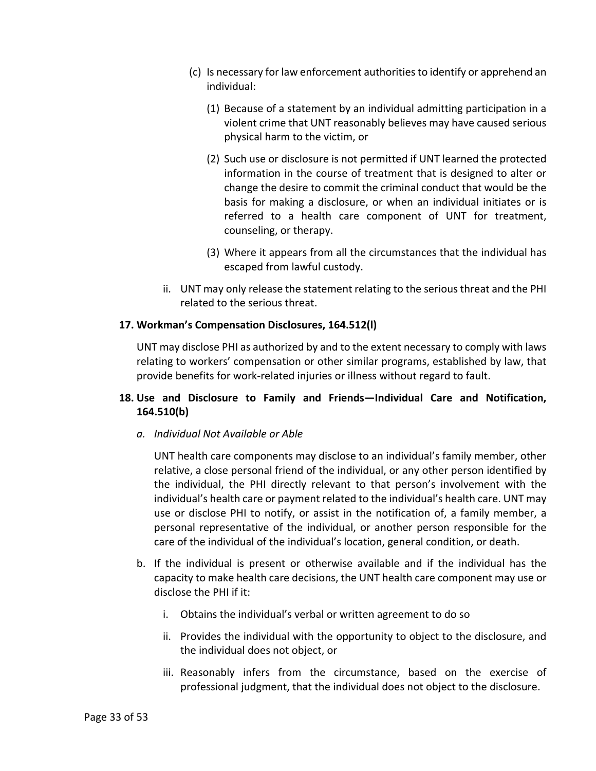- (c) Is necessary for law enforcement authorities to identify or apprehend an individual:
	- (1) Because of a statement by an individual admitting participation in a violent crime that UNT reasonably believes may have caused serious physical harm to the victim, or
	- (2) Such use or disclosure is not permitted if UNT learned the protected information in the course of treatment that is designed to alter or change the desire to commit the criminal conduct that would be the basis for making a disclosure, or when an individual initiates or is referred to a health care component of UNT for treatment, counseling, or therapy.
	- (3) Where it appears from all the circumstances that the individual has escaped from lawful custody.
- ii. UNT may only release the statement relating to the serious threat and the PHI related to the serious threat.

### <span id="page-32-0"></span>**17. Workman's Compensation Disclosures, 164.512(l)**

UNT may disclose PHI as authorized by and to the extent necessary to comply with laws relating to workers' compensation or other similar programs, established by law, that provide benefits for work-related injuries or illness without regard to fault.

# <span id="page-32-1"></span>**18. Use and Disclosure to Family and Friends—Individual Care and Notification, 164.510(b)**

*a. Individual Not Available or Able*

UNT health care components may disclose to an individual's family member, other relative, a close personal friend of the individual, or any other person identified by the individual, the PHI directly relevant to that person's involvement with the individual's health care or payment related to the individual's health care. UNT may use or disclose PHI to notify, or assist in the notification of, a family member, a personal representative of the individual, or another person responsible for the care of the individual of the individual's location, general condition, or death.

- b. If the individual is present or otherwise available and if the individual has the capacity to make health care decisions, the UNT health care component may use or disclose the PHI if it:
	- i. Obtains the individual's verbal or written agreement to do so
	- ii. Provides the individual with the opportunity to object to the disclosure, and the individual does not object, or
	- iii. Reasonably infers from the circumstance, based on the exercise of professional judgment, that the individual does not object to the disclosure.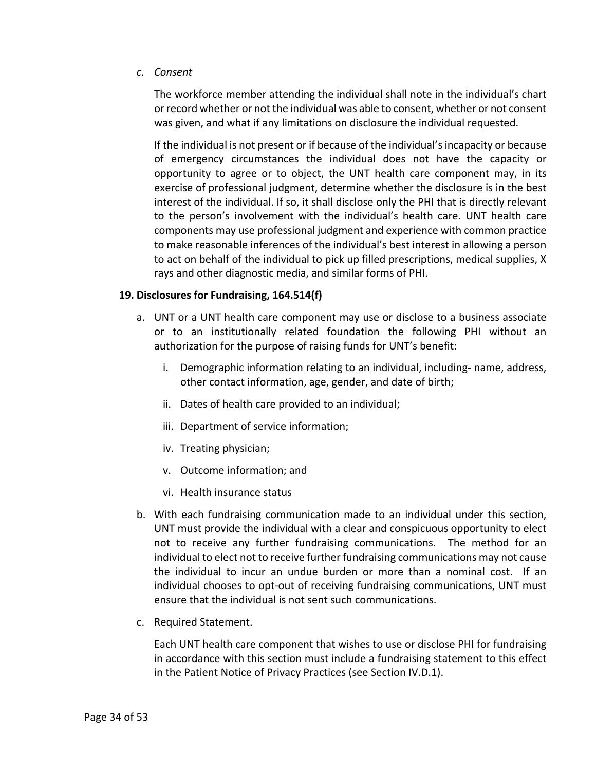*c. Consent*

The workforce member attending the individual shall note in the individual's chart or record whether or not the individual was able to consent, whether or not consent was given, and what if any limitations on disclosure the individual requested.

If the individual is not present or if because of the individual's incapacity or because of emergency circumstances the individual does not have the capacity or opportunity to agree or to object, the UNT health care component may, in its exercise of professional judgment, determine whether the disclosure is in the best interest of the individual. If so, it shall disclose only the PHI that is directly relevant to the person's involvement with the individual's health care. UNT health care components may use professional judgment and experience with common practice to make reasonable inferences of the individual's best interest in allowing a person to act on behalf of the individual to pick up filled prescriptions, medical supplies, X rays and other diagnostic media, and similar forms of PHI.

### <span id="page-33-0"></span>**19. Disclosures for Fundraising, 164.514(f)**

- a. UNT or a UNT health care component may use or disclose to a business associate or to an institutionally related foundation the following PHI without an authorization for the purpose of raising funds for UNT's benefit:
	- i. Demographic information relating to an individual, including- name, address, other contact information, age, gender, and date of birth;
	- ii. Dates of health care provided to an individual;
	- iii. Department of service information;
	- iv. Treating physician;
	- v. Outcome information; and
	- vi. Health insurance status
- b. With each fundraising communication made to an individual under this section, UNT must provide the individual with a clear and conspicuous opportunity to elect not to receive any further fundraising communications. The method for an individual to elect not to receive further fundraising communications may not cause the individual to incur an undue burden or more than a nominal cost. If an individual chooses to opt-out of receiving fundraising communications, UNT must ensure that the individual is not sent such communications.
- c. Required Statement.

Each UNT health care component that wishes to use or disclose PHI for fundraising in accordance with this section must include a fundraising statement to this effect in the Patient Notice of Privacy Practices (see Section [IV](#page-8-1)[.D](#page-12-0)[.1\)](#page-12-1).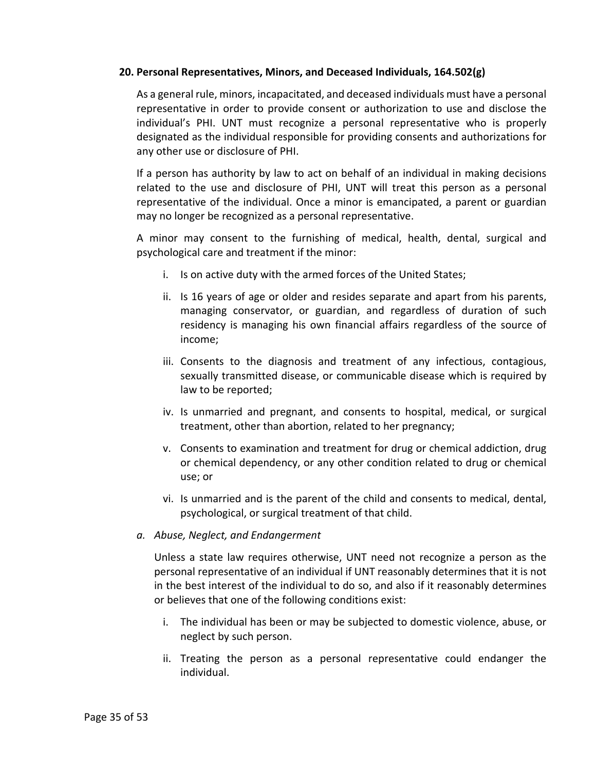#### <span id="page-34-0"></span>**20. Personal Representatives, Minors, and Deceased Individuals, 164.502(g)**

As a general rule, minors, incapacitated, and deceased individuals must have a personal representative in order to provide consent or authorization to use and disclose the individual's PHI. UNT must recognize a personal representative who is properly designated as the individual responsible for providing consents and authorizations for any other use or disclosure of PHI.

If a person has authority by law to act on behalf of an individual in making decisions related to the use and disclosure of PHI, UNT will treat this person as a personal representative of the individual. Once a minor is emancipated, a parent or guardian may no longer be recognized as a personal representative.

A minor may consent to the furnishing of medical, health, dental, surgical and psychological care and treatment if the minor:

- i. Is on active duty with the armed forces of the United States;
- ii. Is 16 years of age or older and resides separate and apart from his parents, managing conservator, or guardian, and regardless of duration of such residency is managing his own financial affairs regardless of the source of income;
- iii. Consents to the diagnosis and treatment of any infectious, contagious, sexually transmitted disease, or communicable disease which is required by law to be reported;
- iv. Is unmarried and pregnant, and consents to hospital, medical, or surgical treatment, other than abortion, related to her pregnancy;
- v. Consents to examination and treatment for drug or chemical addiction, drug or chemical dependency, or any other condition related to drug or chemical use; or
- vi. Is unmarried and is the parent of the child and consents to medical, dental, psychological, or surgical treatment of that child.

#### *a. Abuse, Neglect, and Endangerment*

Unless a state law requires otherwise, UNT need not recognize a person as the personal representative of an individual if UNT reasonably determines that it is not in the best interest of the individual to do so, and also if it reasonably determines or believes that one of the following conditions exist:

- i. The individual has been or may be subjected to domestic violence, abuse, or neglect by such person.
- ii. Treating the person as a personal representative could endanger the individual.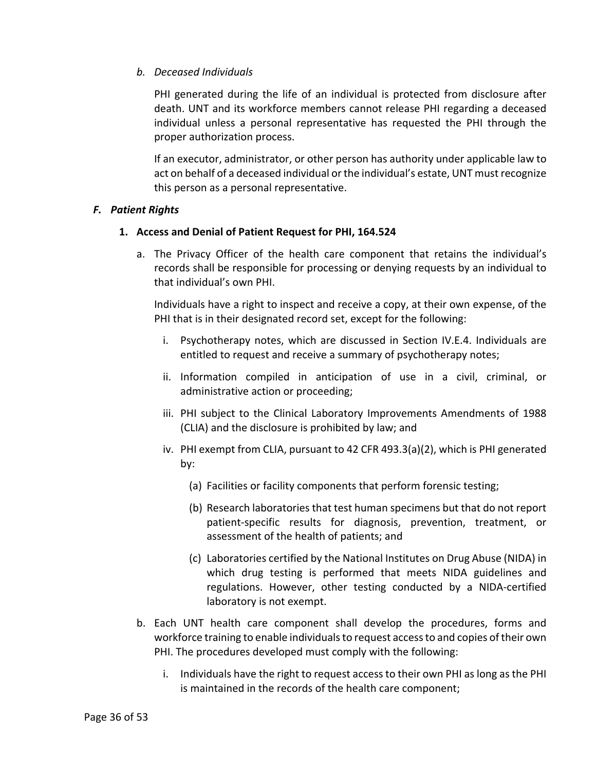# *b. Deceased Individuals*

PHI generated during the life of an individual is protected from disclosure after death. UNT and its workforce members cannot release PHI regarding a deceased individual unless a personal representative has requested the PHI through the proper authorization process.

If an executor, administrator, or other person has authority under applicable law to act on behalf of a deceased individual or the individual's estate, UNT must recognize this person as a personal representative.

### <span id="page-35-1"></span><span id="page-35-0"></span>*F. Patient Rights*

### **1. Access and Denial of Patient Request for PHI, 164.524**

a. The Privacy Officer of the health care component that retains the individual's records shall be responsible for processing or denying requests by an individual to that individual's own PHI.

Individuals have a right to inspect and receive a copy, at their own expense, of the PHI that is in their designated record set, except for the following:

- i. Psychotherapy notes, which are discussed in Section [IV.](#page-8-1)[E.](#page-19-0)[4.](#page-23-1) Individuals are entitled to request and receive a summary of psychotherapy notes;
- ii. Information compiled in anticipation of use in a civil, criminal, or administrative action or proceeding;
- iii. PHI subject to the Clinical Laboratory Improvements Amendments of 1988 (CLIA) and the disclosure is prohibited by law; and
- iv. PHI exempt from CLIA, pursuant to 42 CFR 493.3(a)(2), which is PHI generated by:
	- (a) Facilities or facility components that perform forensic testing;
	- (b) Research laboratories that test human specimens but that do not report patient-specific results for diagnosis, prevention, treatment, or assessment of the health of patients; and
	- (c) Laboratories certified by the National Institutes on Drug Abuse (NIDA) in which drug testing is performed that meets NIDA guidelines and regulations. However, other testing conducted by a NIDA-certified laboratory is not exempt.
- b. Each UNT health care component shall develop the procedures, forms and workforce training to enable individuals to request access to and copies of their own PHI. The procedures developed must comply with the following:
	- i. Individuals have the right to request access to their own PHI as long as the PHI is maintained in the records of the health care component;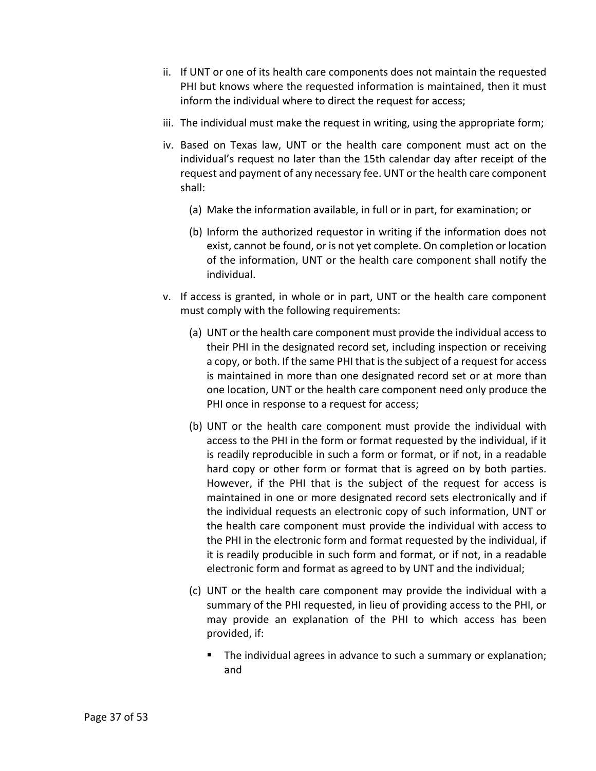- ii. If UNT or one of its health care components does not maintain the requested PHI but knows where the requested information is maintained, then it must inform the individual where to direct the request for access;
- iii. The individual must make the request in writing, using the appropriate form;
- iv. Based on Texas law, UNT or the health care component must act on the individual's request no later than the 15th calendar day after receipt of the request and payment of any necessary fee. UNT or the health care component shall:
	- (a) Make the information available, in full or in part, for examination; or
	- (b) Inform the authorized requestor in writing if the information does not exist, cannot be found, or is not yet complete. On completion or location of the information, UNT or the health care component shall notify the individual.
- v. If access is granted, in whole or in part, UNT or the health care component must comply with the following requirements:
	- (a) UNT or the health care component must provide the individual access to their PHI in the designated record set, including inspection or receiving a copy, or both. If the same PHI that is the subject of a request for access is maintained in more than one designated record set or at more than one location, UNT or the health care component need only produce the PHI once in response to a request for access;
	- (b) UNT or the health care component must provide the individual with access to the PHI in the form or format requested by the individual, if it is readily reproducible in such a form or format, or if not, in a readable hard copy or other form or format that is agreed on by both parties. However, if the PHI that is the subject of the request for access is maintained in one or more designated record sets electronically and if the individual requests an electronic copy of such information, UNT or the health care component must provide the individual with access to the PHI in the electronic form and format requested by the individual, if it is readily producible in such form and format, or if not, in a readable electronic form and format as agreed to by UNT and the individual;
	- (c) UNT or the health care component may provide the individual with a summary of the PHI requested, in lieu of providing access to the PHI, or may provide an explanation of the PHI to which access has been provided, if:
		- The individual agrees in advance to such a summary or explanation; and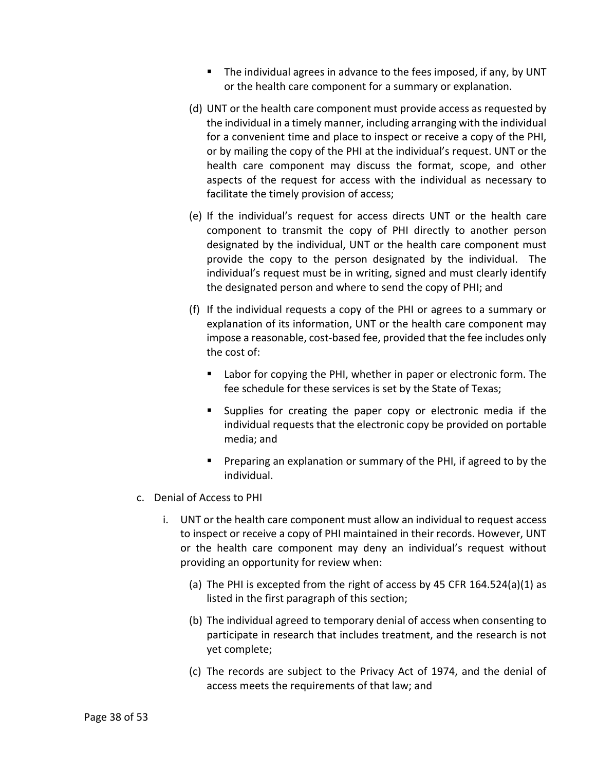- The individual agrees in advance to the fees imposed, if any, by UNT or the health care component for a summary or explanation.
- (d) UNT or the health care component must provide access as requested by the individual in a timely manner, including arranging with the individual for a convenient time and place to inspect or receive a copy of the PHI, or by mailing the copy of the PHI at the individual's request. UNT or the health care component may discuss the format, scope, and other aspects of the request for access with the individual as necessary to facilitate the timely provision of access;
- (e) If the individual's request for access directs UNT or the health care component to transmit the copy of PHI directly to another person designated by the individual, UNT or the health care component must provide the copy to the person designated by the individual. The individual's request must be in writing, signed and must clearly identify the designated person and where to send the copy of PHI; and
- (f) If the individual requests a copy of the PHI or agrees to a summary or explanation of its information, UNT or the health care component may impose a reasonable, cost-based fee, provided that the fee includes only the cost of:
	- **Labor for copying the PHI, whether in paper or electronic form. The** fee schedule for these services is set by the State of Texas;
	- Supplies for creating the paper copy or electronic media if the individual requests that the electronic copy be provided on portable media; and
	- **Preparing an explanation or summary of the PHI, if agreed to by the** individual.
- c. Denial of Access to PHI
	- i. UNT or the health care component must allow an individual to request access to inspect or receive a copy of PHI maintained in their records. However, UNT or the health care component may deny an individual's request without providing an opportunity for review when:
		- (a) The PHI is excepted from the right of access by 45 CFR 164.524(a)(1) as listed in the first paragraph of this section;
		- (b) The individual agreed to temporary denial of access when consenting to participate in research that includes treatment, and the research is not yet complete;
		- (c) The records are subject to the Privacy Act of 1974, and the denial of access meets the requirements of that law; and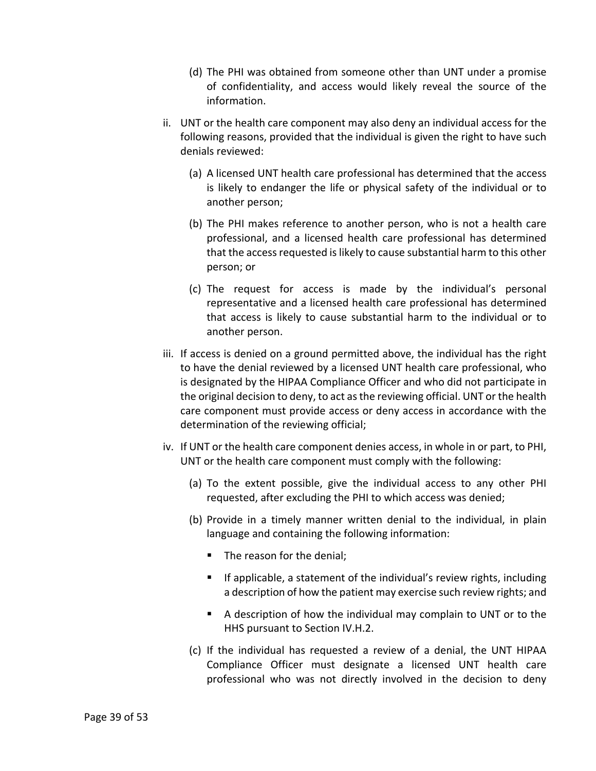- (d) The PHI was obtained from someone other than UNT under a promise of confidentiality, and access would likely reveal the source of the information.
- ii. UNT or the health care component may also deny an individual access for the following reasons, provided that the individual is given the right to have such denials reviewed:
	- (a) A licensed UNT health care professional has determined that the access is likely to endanger the life or physical safety of the individual or to another person;
	- (b) The PHI makes reference to another person, who is not a health care professional, and a licensed health care professional has determined that the access requested is likely to cause substantial harm to this other person; or
	- (c) The request for access is made by the individual's personal representative and a licensed health care professional has determined that access is likely to cause substantial harm to the individual or to another person.
- iii. If access is denied on a ground permitted above, the individual has the right to have the denial reviewed by a licensed UNT health care professional, who is designated by the HIPAA Compliance Officer and who did not participate in the original decision to deny, to act as the reviewing official. UNT or the health care component must provide access or deny access in accordance with the determination of the reviewing official;
- iv. If UNT or the health care component denies access, in whole in or part, to PHI, UNT or the health care component must comply with the following:
	- (a) To the extent possible, give the individual access to any other PHI requested, after excluding the PHI to which access was denied;
	- (b) Provide in a timely manner written denial to the individual, in plain language and containing the following information:
		- The reason for the denial;
		- If applicable, a statement of the individual's review rights, including a description of how the patient may exercise such review rights; and
		- A description of how the individual may complain to UNT or to the HHS pursuant to Section [IV.](#page-8-1)[H.2.](#page-51-0)
	- (c) If the individual has requested a review of a denial, the UNT HIPAA Compliance Officer must designate a licensed UNT health care professional who was not directly involved in the decision to deny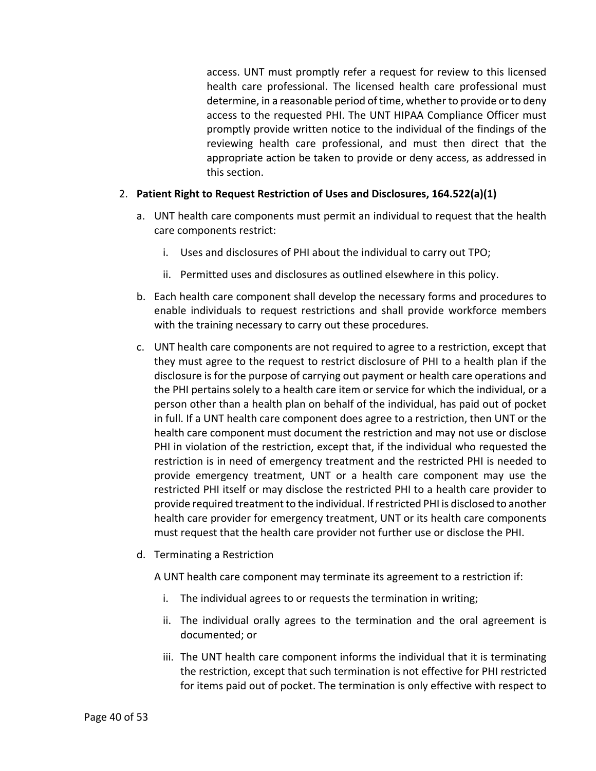access. UNT must promptly refer a request for review to this licensed health care professional. The licensed health care professional must determine, in a reasonable period of time, whether to provide or to deny access to the requested PHI. The UNT HIPAA Compliance Officer must promptly provide written notice to the individual of the findings of the reviewing health care professional, and must then direct that the appropriate action be taken to provide or deny access, as addressed in this section.

### <span id="page-39-0"></span>2. **Patient Right to Request Restriction of Uses and Disclosures, 164.522(a)(1)**

- a. UNT health care components must permit an individual to request that the health care components restrict:
	- i. Uses and disclosures of PHI about the individual to carry out TPO;
	- ii. Permitted uses and disclosures as outlined elsewhere in this policy.
- b. Each health care component shall develop the necessary forms and procedures to enable individuals to request restrictions and shall provide workforce members with the training necessary to carry out these procedures.
- c. UNT health care components are not required to agree to a restriction, except that they must agree to the request to restrict disclosure of PHI to a health plan if the disclosure is for the purpose of carrying out payment or health care operations and the PHI pertains solely to a health care item or service for which the individual, or a person other than a health plan on behalf of the individual, has paid out of pocket in full. If a UNT health care component does agree to a restriction, then UNT or the health care component must document the restriction and may not use or disclose PHI in violation of the restriction, except that, if the individual who requested the restriction is in need of emergency treatment and the restricted PHI is needed to provide emergency treatment, UNT or a health care component may use the restricted PHI itself or may disclose the restricted PHI to a health care provider to provide required treatment to the individual. If restricted PHI is disclosed to another health care provider for emergency treatment, UNT or its health care components must request that the health care provider not further use or disclose the PHI.
- d. Terminating a Restriction

A UNT health care component may terminate its agreement to a restriction if:

- i. The individual agrees to or requests the termination in writing;
- ii. The individual orally agrees to the termination and the oral agreement is documented; or
- iii. The UNT health care component informs the individual that it is terminating the restriction, except that such termination is not effective for PHI restricted for items paid out of pocket. The termination is only effective with respect to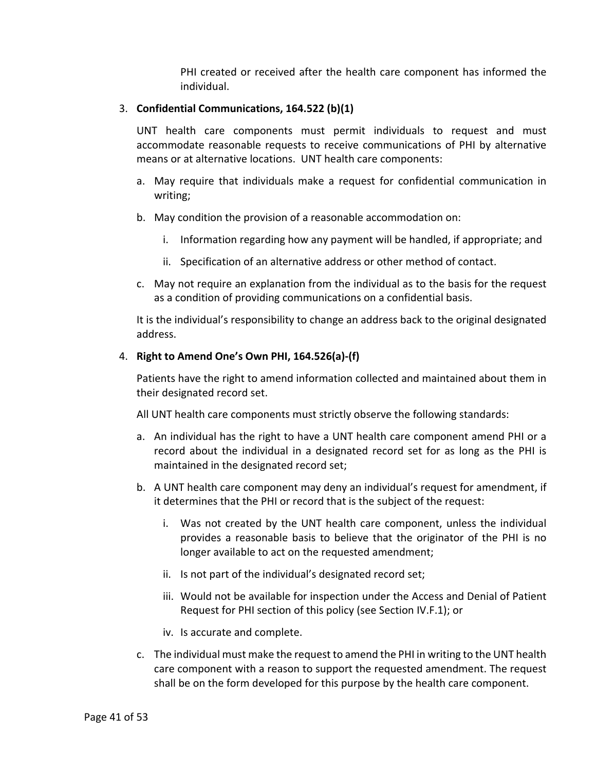PHI created or received after the health care component has informed the individual.

### <span id="page-40-0"></span>3. **Confidential Communications, 164.522 (b)(1)**

UNT health care components must permit individuals to request and must accommodate reasonable requests to receive communications of PHI by alternative means or at alternative locations. UNT health care components:

- a. May require that individuals make a request for confidential communication in writing;
- b. May condition the provision of a reasonable accommodation on:
	- i. Information regarding how any payment will be handled, if appropriate; and
	- ii. Specification of an alternative address or other method of contact.
- c. May not require an explanation from the individual as to the basis for the request as a condition of providing communications on a confidential basis.

It is the individual's responsibility to change an address back to the original designated address.

# <span id="page-40-1"></span>4. **Right to Amend One's Own PHI, 164.526(a)-(f)**

Patients have the right to amend information collected and maintained about them in their designated record set.

All UNT health care components must strictly observe the following standards:

- a. An individual has the right to have a UNT health care component amend PHI or a record about the individual in a designated record set for as long as the PHI is maintained in the designated record set;
- b. A UNT health care component may deny an individual's request for amendment, if it determines that the PHI or record that is the subject of the request:
	- i. Was not created by the UNT health care component, unless the individual provides a reasonable basis to believe that the originator of the PHI is no longer available to act on the requested amendment;
	- ii. Is not part of the individual's designated record set;
	- iii. Would not be available for inspection under the Access and Denial of Patient Request for PHI section of this policy (see Section [IV](#page-8-1)[.F](#page-35-0)[.1\)](#page-35-1); or
	- iv. Is accurate and complete.
- c. The individual must make the request to amend the PHI in writing to the UNT health care component with a reason to support the requested amendment. The request shall be on the form developed for this purpose by the health care component.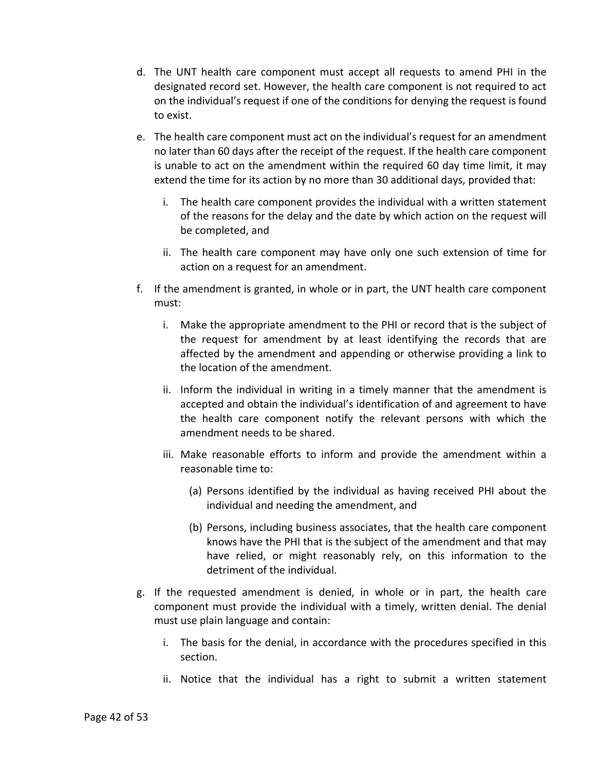- d. The UNT health care component must accept all requests to amend PHI in the designated record set. However, the health care component is not required to act on the individual's request if one of the conditions for denying the request is found to exist.
- e. The health care component must act on the individual's request for an amendment no later than 60 days after the receipt of the request. If the health care component is unable to act on the amendment within the required 60 day time limit, it may extend the time for its action by no more than 30 additional days, provided that:
	- i. The health care component provides the individual with a written statement of the reasons for the delay and the date by which action on the request will be completed, and
	- ii. The health care component may have only one such extension of time for action on a request for an amendment.
- f. If the amendment is granted, in whole or in part, the UNT health care component must:
	- i. Make the appropriate amendment to the PHI or record that is the subject of the request for amendment by at least identifying the records that are affected by the amendment and appending or otherwise providing a link to the location of the amendment.
	- ii. Inform the individual in writing in a timely manner that the amendment is accepted and obtain the individual's identification of and agreement to have the health care component notify the relevant persons with which the amendment needs to be shared.
	- iii. Make reasonable efforts to inform and provide the amendment within a reasonable time to:
		- (a) Persons identified by the individual as having received PHI about the individual and needing the amendment, and
		- (b) Persons, including business associates, that the health care component knows have the PHI that is the subject of the amendment and that may have relied, or might reasonably rely, on this information to the detriment of the individual.
- g. If the requested amendment is denied, in whole or in part, the health care component must provide the individual with a timely, written denial. The denial must use plain language and contain:
	- i. The basis for the denial, in accordance with the procedures specified in this section.
	- ii. Notice that the individual has a right to submit a written statement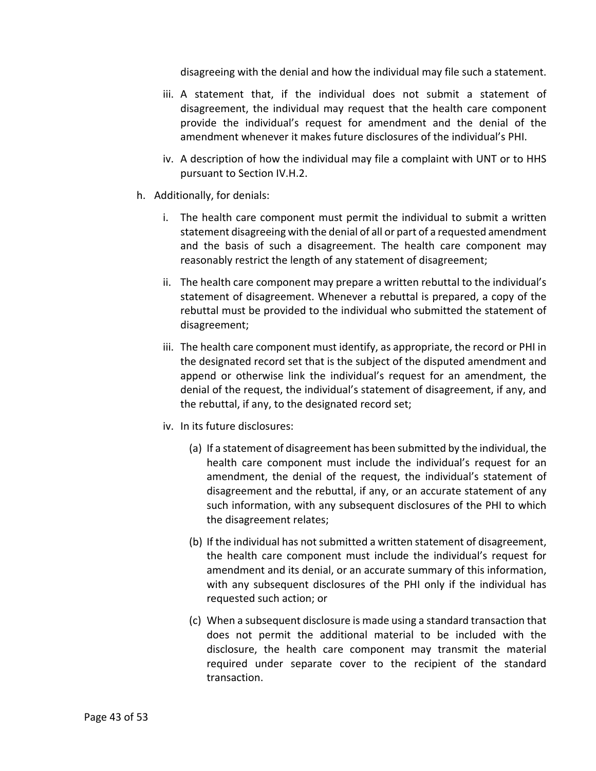disagreeing with the denial and how the individual may file such a statement.

- iii. A statement that, if the individual does not submit a statement of disagreement, the individual may request that the health care component provide the individual's request for amendment and the denial of the amendment whenever it makes future disclosures of the individual's PHI.
- iv. A description of how the individual may file a complaint with UNT or to HHS pursuant to Sectio[n IV](#page-8-1)[.H.2.](#page-51-0)
- h. Additionally, for denials:
	- i. The health care component must permit the individual to submit a written statement disagreeing with the denial of all or part of a requested amendment and the basis of such a disagreement. The health care component may reasonably restrict the length of any statement of disagreement;
	- ii. The health care component may prepare a written rebuttal to the individual's statement of disagreement. Whenever a rebuttal is prepared, a copy of the rebuttal must be provided to the individual who submitted the statement of disagreement;
	- iii. The health care component must identify, as appropriate, the record or PHI in the designated record set that is the subject of the disputed amendment and append or otherwise link the individual's request for an amendment, the denial of the request, the individual's statement of disagreement, if any, and the rebuttal, if any, to the designated record set;
	- iv. In its future disclosures:
		- (a) If a statement of disagreement has been submitted by the individual, the health care component must include the individual's request for an amendment, the denial of the request, the individual's statement of disagreement and the rebuttal, if any, or an accurate statement of any such information, with any subsequent disclosures of the PHI to which the disagreement relates;
		- (b) If the individual has not submitted a written statement of disagreement, the health care component must include the individual's request for amendment and its denial, or an accurate summary of this information, with any subsequent disclosures of the PHI only if the individual has requested such action; or
		- (c) When a subsequent disclosure is made using a standard transaction that does not permit the additional material to be included with the disclosure, the health care component may transmit the material required under separate cover to the recipient of the standard transaction.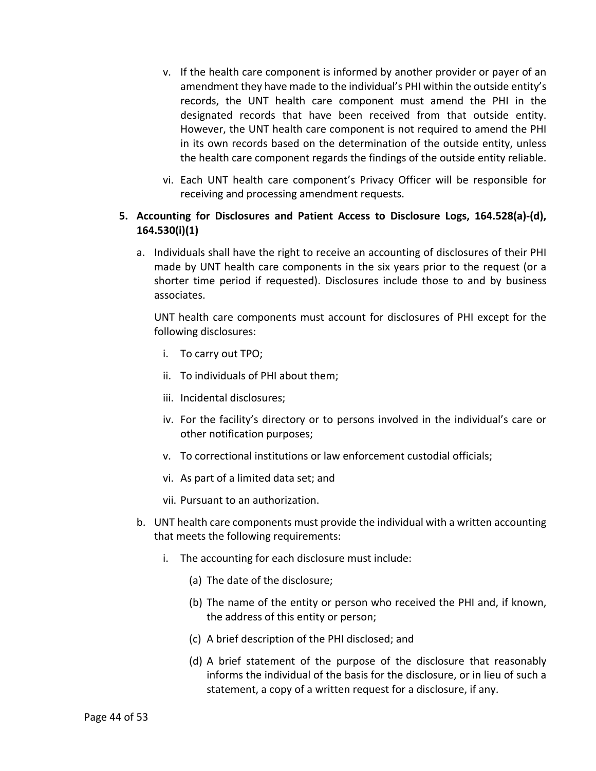- v. If the health care component is informed by another provider or payer of an amendment they have made to the individual's PHI within the outside entity's records, the UNT health care component must amend the PHI in the designated records that have been received from that outside entity. However, the UNT health care component is not required to amend the PHI in its own records based on the determination of the outside entity, unless the health care component regards the findings of the outside entity reliable.
- vi. Each UNT health care component's Privacy Officer will be responsible for receiving and processing amendment requests.

# <span id="page-43-0"></span>**5. Accounting for Disclosures and Patient Access to Disclosure Logs, 164.528(a)-(d), 164.530(i)(1)**

a. Individuals shall have the right to receive an accounting of disclosures of their PHI made by UNT health care components in the six years prior to the request (or a shorter time period if requested). Disclosures include those to and by business associates.

UNT health care components must account for disclosures of PHI except for the following disclosures:

- i. To carry out TPO;
- ii. To individuals of PHI about them;
- iii. Incidental disclosures;
- iv. For the facility's directory or to persons involved in the individual's care or other notification purposes;
- v. To correctional institutions or law enforcement custodial officials;
- vi. As part of a limited data set; and
- vii. Pursuant to an authorization.
- b. UNT health care components must provide the individual with a written accounting that meets the following requirements:
	- i. The accounting for each disclosure must include:
		- (a) The date of the disclosure;
		- (b) The name of the entity or person who received the PHI and, if known, the address of this entity or person;
		- (c) A brief description of the PHI disclosed; and
		- (d) A brief statement of the purpose of the disclosure that reasonably informs the individual of the basis for the disclosure, or in lieu of such a statement, a copy of a written request for a disclosure, if any.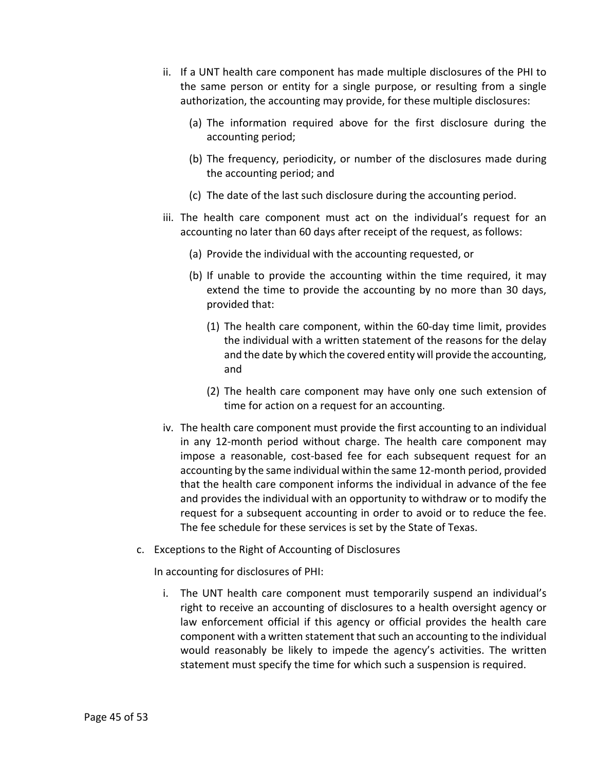- ii. If a UNT health care component has made multiple disclosures of the PHI to the same person or entity for a single purpose, or resulting from a single authorization, the accounting may provide, for these multiple disclosures:
	- (a) The information required above for the first disclosure during the accounting period;
	- (b) The frequency, periodicity, or number of the disclosures made during the accounting period; and
	- (c) The date of the last such disclosure during the accounting period.
- iii. The health care component must act on the individual's request for an accounting no later than 60 days after receipt of the request, as follows:
	- (a) Provide the individual with the accounting requested, or
	- (b) If unable to provide the accounting within the time required, it may extend the time to provide the accounting by no more than 30 days, provided that:
		- (1) The health care component, within the 60-day time limit, provides the individual with a written statement of the reasons for the delay and the date by which the covered entity will provide the accounting, and
		- (2) The health care component may have only one such extension of time for action on a request for an accounting.
- iv. The health care component must provide the first accounting to an individual in any 12-month period without charge. The health care component may impose a reasonable, cost-based fee for each subsequent request for an accounting by the same individual within the same 12-month period, provided that the health care component informs the individual in advance of the fee and provides the individual with an opportunity to withdraw or to modify the request for a subsequent accounting in order to avoid or to reduce the fee. The fee schedule for these services is set by the State of Texas.
- c. Exceptions to the Right of Accounting of Disclosures

In accounting for disclosures of PHI:

i. The UNT health care component must temporarily suspend an individual's right to receive an accounting of disclosures to a health oversight agency or law enforcement official if this agency or official provides the health care component with a written statement that such an accounting to the individual would reasonably be likely to impede the agency's activities. The written statement must specify the time for which such a suspension is required.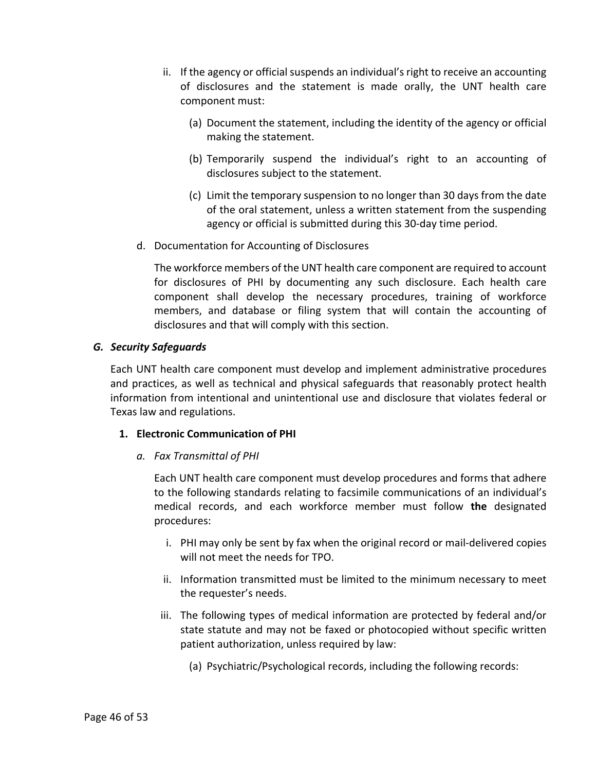- ii. If the agency or official suspends an individual's right to receive an accounting of disclosures and the statement is made orally, the UNT health care component must:
	- (a) Document the statement, including the identity of the agency or official making the statement.
	- (b) Temporarily suspend the individual's right to an accounting of disclosures subject to the statement.
	- (c) Limit the temporary suspension to no longer than 30 days from the date of the oral statement, unless a written statement from the suspending agency or official is submitted during this 30-day time period.
- d. Documentation for Accounting of Disclosures

The workforce members of the UNT health care component are required to account for disclosures of PHI by documenting any such disclosure. Each health care component shall develop the necessary procedures, training of workforce members, and database or filing system that will contain the accounting of disclosures and that will comply with this section.

# <span id="page-45-0"></span>*G. Security Safeguards*

Each UNT health care component must develop and implement administrative procedures and practices, as well as technical and physical safeguards that reasonably protect health information from intentional and unintentional use and disclosure that violates federal or Texas law and regulations.

### <span id="page-45-1"></span>**1. Electronic Communication of PHI**

*a. Fax Transmittal of PHI*

Each UNT health care component must develop procedures and forms that adhere to the following standards relating to facsimile communications of an individual's medical records, and each workforce member must follow **the** designated procedures:

- i. PHI may only be sent by fax when the original record or mail-delivered copies will not meet the needs for TPO.
- ii. Information transmitted must be limited to the minimum necessary to meet the requester's needs.
- iii. The following types of medical information are protected by federal and/or state statute and may not be faxed or photocopied without specific written patient authorization, unless required by law:
	- (a) Psychiatric/Psychological records, including the following records: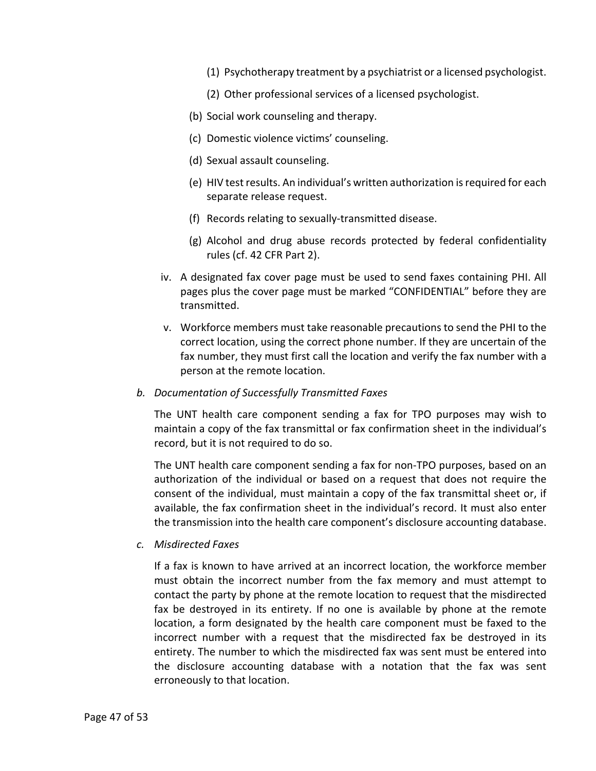- (1) Psychotherapy treatment by a psychiatrist or a licensed psychologist.
- (2) Other professional services of a licensed psychologist.
- (b) Social work counseling and therapy.
- (c) Domestic violence victims' counseling.
- (d) Sexual assault counseling.
- (e) HIV test results. An individual's written authorization is required for each separate release request.
- (f) Records relating to sexually-transmitted disease.
- (g) Alcohol and drug abuse records protected by federal confidentiality rules (cf. 42 CFR Part 2).
- iv. A designated fax cover page must be used to send faxes containing PHI. All pages plus the cover page must be marked "CONFIDENTIAL" before they are transmitted.
- v. Workforce members must take reasonable precautions to send the PHI to the correct location, using the correct phone number. If they are uncertain of the fax number, they must first call the location and verify the fax number with a person at the remote location.
- *b. Documentation of Successfully Transmitted Faxes*

The UNT health care component sending a fax for TPO purposes may wish to maintain a copy of the fax transmittal or fax confirmation sheet in the individual's record, but it is not required to do so.

The UNT health care component sending a fax for non-TPO purposes, based on an authorization of the individual or based on a request that does not require the consent of the individual, must maintain a copy of the fax transmittal sheet or, if available, the fax confirmation sheet in the individual's record. It must also enter the transmission into the health care component's disclosure accounting database.

*c. Misdirected Faxes*

If a fax is known to have arrived at an incorrect location, the workforce member must obtain the incorrect number from the fax memory and must attempt to contact the party by phone at the remote location to request that the misdirected fax be destroyed in its entirety. If no one is available by phone at the remote location, a form designated by the health care component must be faxed to the incorrect number with a request that the misdirected fax be destroyed in its entirety. The number to which the misdirected fax was sent must be entered into the disclosure accounting database with a notation that the fax was sent erroneously to that location.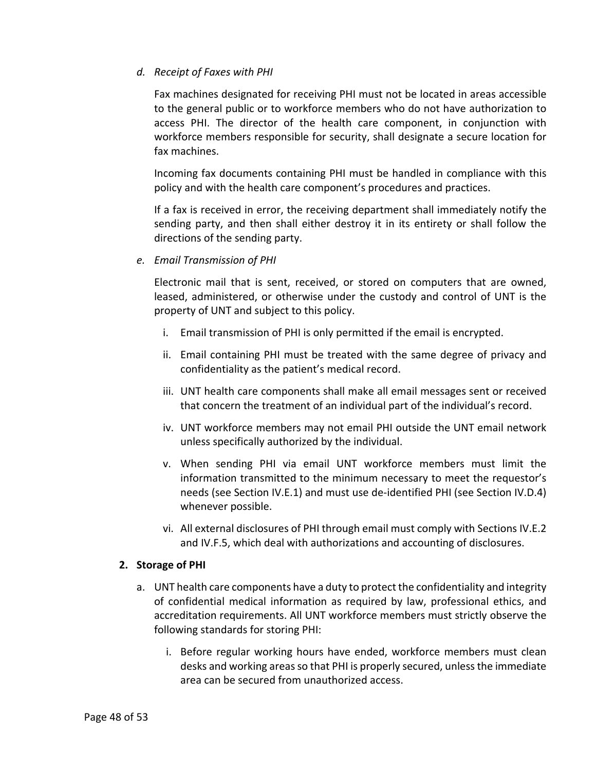# *d. Receipt of Faxes with PHI*

Fax machines designated for receiving PHI must not be located in areas accessible to the general public or to workforce members who do not have authorization to access PHI. The director of the health care component, in conjunction with workforce members responsible for security, shall designate a secure location for fax machines.

Incoming fax documents containing PHI must be handled in compliance with this policy and with the health care component's procedures and practices.

If a fax is received in error, the receiving department shall immediately notify the sending party, and then shall either destroy it in its entirety or shall follow the directions of the sending party.

*e. Email Transmission of PHI*

Electronic mail that is sent, received, or stored on computers that are owned, leased, administered, or otherwise under the custody and control of UNT is the property of UNT and subject to this policy.

- i. Email transmission of PHI is only permitted if the email is encrypted.
- ii. Email containing PHI must be treated with the same degree of privacy and confidentiality as the patient's medical record.
- iii. UNT health care components shall make all email messages sent or received that concern the treatment of an individual part of the individual's record.
- iv. UNT workforce members may not email PHI outside the UNT email network unless specifically authorized by the individual.
- v. When sending PHI via email UNT workforce members must limit the information transmitted to the minimum necessary to meet the requestor's needs (see Section [IV](#page-8-1)[.E.](#page-19-0)[1\)](#page-19-1) and must use de-identified PHI (see Section [IV.](#page-8-1)[D.](#page-12-0)[4\)](#page-17-1) whenever possible.
- vi. All external disclosures of PHI through email must comply with Sections [IV](#page-8-1)[.E.](#page-19-0)[2](#page-21-0) and [IV.](#page-8-1)[F](#page-35-0)[.5,](#page-43-0) which deal with authorizations and accounting of disclosures.

### <span id="page-47-0"></span>**2. Storage of PHI**

- a. UNT health care components have a duty to protect the confidentiality and integrity of confidential medical information as required by law, professional ethics, and accreditation requirements. All UNT workforce members must strictly observe the following standards for storing PHI:
	- i. Before regular working hours have ended, workforce members must clean desks and working areas so that PHI is properly secured, unless the immediate area can be secured from unauthorized access.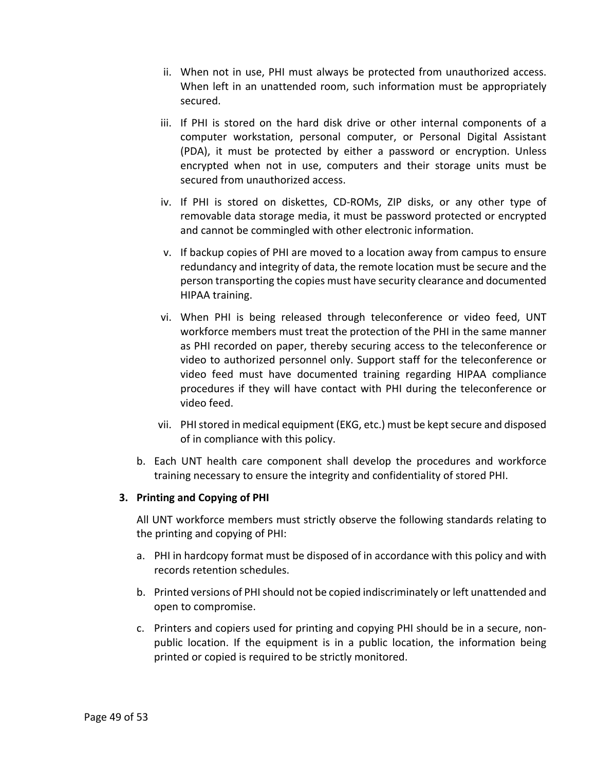- ii. When not in use, PHI must always be protected from unauthorized access. When left in an unattended room, such information must be appropriately secured.
- iii. If PHI is stored on the hard disk drive or other internal components of a computer workstation, personal computer, or Personal Digital Assistant (PDA), it must be protected by either a password or encryption. Unless encrypted when not in use, computers and their storage units must be secured from unauthorized access.
- iv. If PHI is stored on diskettes, CD-ROMs, ZIP disks, or any other type of removable data storage media, it must be password protected or encrypted and cannot be commingled with other electronic information.
- v. If backup copies of PHI are moved to a location away from campus to ensure redundancy and integrity of data, the remote location must be secure and the person transporting the copies must have security clearance and documented HIPAA training.
- vi. When PHI is being released through teleconference or video feed, UNT workforce members must treat the protection of the PHI in the same manner as PHI recorded on paper, thereby securing access to the teleconference or video to authorized personnel only. Support staff for the teleconference or video feed must have documented training regarding HIPAA compliance procedures if they will have contact with PHI during the teleconference or video feed.
- vii. PHI stored in medical equipment (EKG, etc.) must be kept secure and disposed of in compliance with this policy.
- b. Each UNT health care component shall develop the procedures and workforce training necessary to ensure the integrity and confidentiality of stored PHI.

### <span id="page-48-0"></span>**3. Printing and Copying of PHI**

All UNT workforce members must strictly observe the following standards relating to the printing and copying of PHI:

- a. PHI in hardcopy format must be disposed of in accordance with this policy and with records retention schedules.
- b. Printed versions of PHI should not be copied indiscriminately or left unattended and open to compromise.
- c. Printers and copiers used for printing and copying PHI should be in a secure, nonpublic location. If the equipment is in a public location, the information being printed or copied is required to be strictly monitored.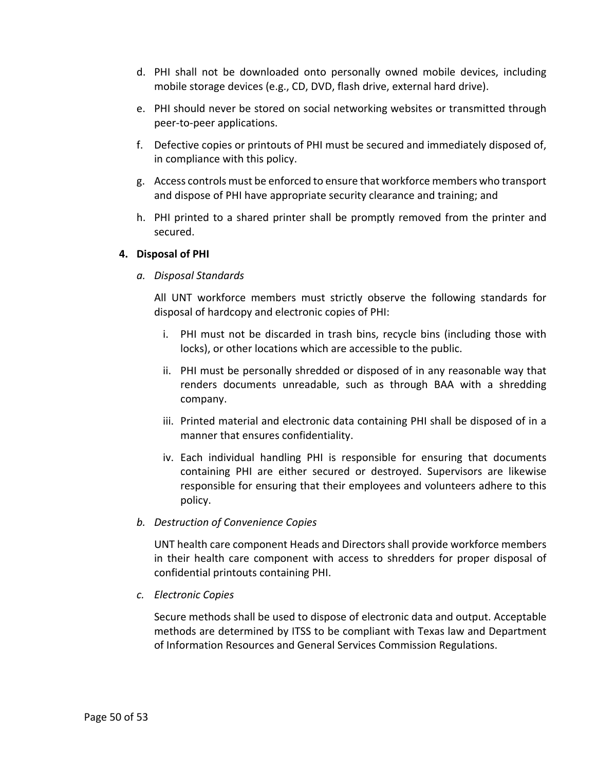- d. PHI shall not be downloaded onto personally owned mobile devices, including mobile storage devices (e.g., CD, DVD, flash drive, external hard drive).
- e. PHI should never be stored on social networking websites or transmitted through peer-to-peer applications.
- f. Defective copies or printouts of PHI must be secured and immediately disposed of, in compliance with this policy.
- g. Access controls must be enforced to ensure that workforce members who transport and dispose of PHI have appropriate security clearance and training; and
- h. PHI printed to a shared printer shall be promptly removed from the printer and secured.

### <span id="page-49-0"></span>**4. Disposal of PHI**

*a. Disposal Standards*

All UNT workforce members must strictly observe the following standards for disposal of hardcopy and electronic copies of PHI:

- i. PHI must not be discarded in trash bins, recycle bins (including those with locks), or other locations which are accessible to the public.
- ii. PHI must be personally shredded or disposed of in any reasonable way that renders documents unreadable, such as through BAA with a shredding company.
- iii. Printed material and electronic data containing PHI shall be disposed of in a manner that ensures confidentiality.
- iv. Each individual handling PHI is responsible for ensuring that documents containing PHI are either secured or destroyed. Supervisors are likewise responsible for ensuring that their employees and volunteers adhere to this policy.
- *b. Destruction of Convenience Copies*

UNT health care component Heads and Directors shall provide workforce members in their health care component with access to shredders for proper disposal of confidential printouts containing PHI.

*c. Electronic Copies*

Secure methods shall be used to dispose of electronic data and output. Acceptable methods are determined by ITSS to be compliant with Texas law and Department of Information Resources and General Services Commission Regulations.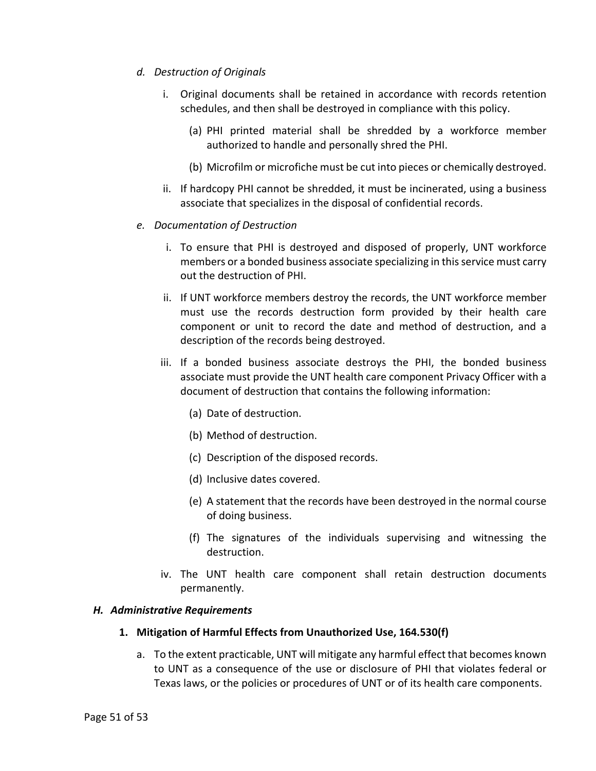- *d. Destruction of Originals*
	- i. Original documents shall be retained in accordance with records retention schedules, and then shall be destroyed in compliance with this policy.
		- (a) PHI printed material shall be shredded by a workforce member authorized to handle and personally shred the PHI.
		- (b) Microfilm or microfiche must be cut into pieces or chemically destroyed.
	- ii. If hardcopy PHI cannot be shredded, it must be incinerated, using a business associate that specializes in the disposal of confidential records.
- *e. Documentation of Destruction*
	- i. To ensure that PHI is destroyed and disposed of properly, UNT workforce members or a bonded business associate specializing in this service must carry out the destruction of PHI.
	- ii. If UNT workforce members destroy the records, the UNT workforce member must use the records destruction form provided by their health care component or unit to record the date and method of destruction, and a description of the records being destroyed.
	- iii. If a bonded business associate destroys the PHI, the bonded business associate must provide the UNT health care component Privacy Officer with a document of destruction that contains the following information:
		- (a) Date of destruction.
		- (b) Method of destruction.
		- (c) Description of the disposed records.
		- (d) Inclusive dates covered.
		- (e) A statement that the records have been destroyed in the normal course of doing business.
		- (f) The signatures of the individuals supervising and witnessing the destruction.
	- iv. The UNT health care component shall retain destruction documents permanently.

### <span id="page-50-1"></span><span id="page-50-0"></span>*H. Administrative Requirements*

- **1. Mitigation of Harmful Effects from Unauthorized Use, 164.530(f)**
	- a. To the extent practicable, UNT will mitigate any harmful effect that becomes known to UNT as a consequence of the use or disclosure of PHI that violates federal or Texas laws, or the policies or procedures of UNT or of its health care components.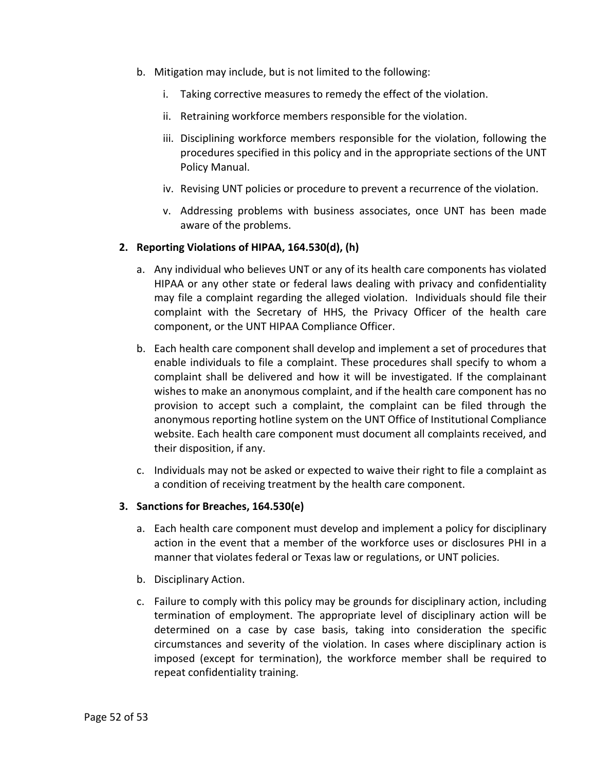- b. Mitigation may include, but is not limited to the following:
	- i. Taking corrective measures to remedy the effect of the violation.
	- ii. Retraining workforce members responsible for the violation.
	- iii. Disciplining workforce members responsible for the violation, following the procedures specified in this policy and in the appropriate sections of the UNT Policy Manual.
	- iv. Revising UNT policies or procedure to prevent a recurrence of the violation.
	- v. Addressing problems with business associates, once UNT has been made aware of the problems.

# <span id="page-51-0"></span>**2. Reporting Violations of HIPAA, 164.530(d), (h)**

- a. Any individual who believes UNT or any of its health care components has violated HIPAA or any other state or federal laws dealing with privacy and confidentiality may file a complaint regarding the alleged violation. Individuals should file their complaint with the Secretary of HHS, the Privacy Officer of the health care component, or the UNT HIPAA Compliance Officer.
- b. Each health care component shall develop and implement a set of procedures that enable individuals to file a complaint. These procedures shall specify to whom a complaint shall be delivered and how it will be investigated. If the complainant wishes to make an anonymous complaint, and if the health care component has no provision to accept such a complaint, the complaint can be filed through the anonymous reporting hotline system on the UNT Office of Institutional Compliance website. Each health care component must document all complaints received, and their disposition, if any.
- c. Individuals may not be asked or expected to waive their right to file a complaint as a condition of receiving treatment by the health care component.

### <span id="page-51-1"></span>**3. Sanctions for Breaches, 164.530(e)**

- a. Each health care component must develop and implement a policy for disciplinary action in the event that a member of the workforce uses or disclosures PHI in a manner that violates federal or Texas law or regulations, or UNT policies.
- b. Disciplinary Action.
- c. Failure to comply with this policy may be grounds for disciplinary action, including termination of employment. The appropriate level of disciplinary action will be determined on a case by case basis, taking into consideration the specific circumstances and severity of the violation. In cases where disciplinary action is imposed (except for termination), the workforce member shall be required to repeat confidentiality training.